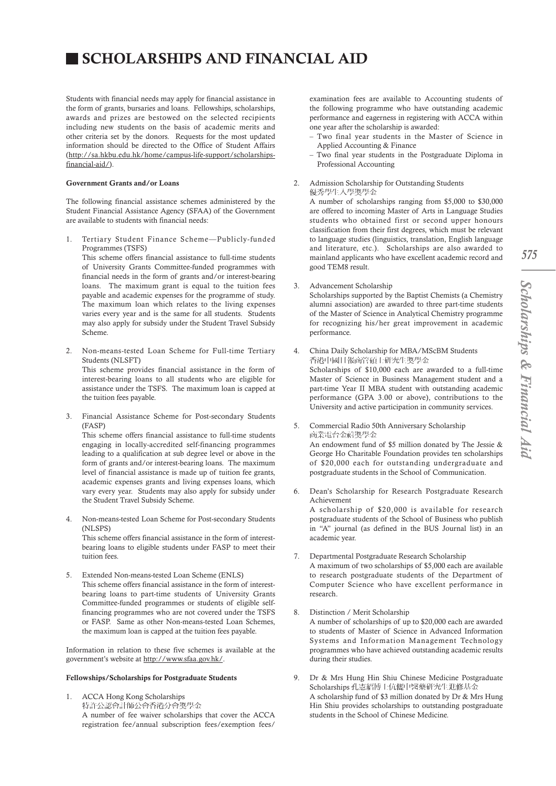# SCHOLARSHIPS AND FINANCIAL AID

Students with financial needs may apply for financial assistance in the form of grants, bursaries and loans. Fellowships, scholarships, awards and prizes are bestowed on the selected recipients including new students on the basis of academic merits and other criteria set by the donors. Requests for the most updated information should be directed to the Office of Student Affairs (http://sa.hkbu.edu.hk/home/campus-life-support/scholarshipsfinancial-aid/).

## Government Grants and/or Loans

The following financial assistance schemes administered by the Student Financial Assistance Agency (SFAA) of the Government are available to students with financial needs:

1. Tertiary Student Finance Scheme—Publicly-funded Programmes (TSFS)

This scheme offers financial assistance to full-time students of University Grants Committee-funded programmes with financial needs in the form of grants and/or interest-bearing loans. The maximum grant is equal to the tuition fees payable and academic expenses for the programme of study. The maximum loan which relates to the living expenses varies every year and is the same for all students. Students may also apply for subsidy under the Student Travel Subsidy Scheme.

- 2. Non-means-tested Loan Scheme for Full-time Tertiary Students (NLSFT) This scheme provides financial assistance in the form of interest-bearing loans to all students who are eligible for assistance under the TSFS. The maximum loan is capped at the tuition fees payable.
- 3. Financial Assistance Scheme for Post-secondary Students (FASP)

This scheme offers financial assistance to full-time students engaging in locally-accredited self-financing programmes leading to a qualification at sub degree level or above in the form of grants and/or interest-bearing loans. The maximum level of financial assistance is made up of tuition fee grants, academic expenses grants and living expenses loans, which vary every year. Students may also apply for subsidy under the Student Travel Subsidy Scheme.

4. Non-means-tested Loan Scheme for Post-secondary Students (NLSPS) This scheme offers financial assistance in the form of interestbearing loans to eligible students under FASP to meet their

tuition fees.

5. Extended Non-means-tested Loan Scheme (ENLS) This scheme offers financial assistance in the form of interestbearing loans to part-time students of University Grants Committee-funded programmes or students of eligible selffinancing programmes who are not covered under the TSFS or FASP. Same as other Non-means-tested Loan Schemes, the maximum loan is capped at the tuition fees payable.

Information in relation to these five schemes is available at the government's website at http://www.sfaa.gov.hk/.

#### Fellowships/Scholarships for Postgraduate Students

1. ACCA Hong Kong Scholarships 特許公認會計師公會香港分會獎學金 A number of fee waiver scholarships that cover the ACCA registration fee/annual subscription fees/exemption fees/

examination fees are available to Accounting students of the following programme who have outstanding academic performance and eagerness in registering with ACCA within one year after the scholarship is awarded:

- Two final year students in the Master of Science in Applied Accounting & Finance
- Two final year students in the Postgraduate Diploma in Professional Accounting
- 2. Admission Scholarship for Outstanding Students 優秀學生入學獎學金

A number of scholarships ranging from \$5,000 to \$30,000 are offered to incoming Master of Arts in Language Studies students who obtained first or second upper honours classification from their first degrees, which must be relevant to language studies (linguistics, translation, English language and literature, etc.). Scholarships are also awarded to mainland applicants who have excellent academic record and good TEM8 result.

# 3. Advancement Scholarship

Scholarships supported by the Baptist Chemists (a Chemistry alumni association) are awarded to three part-time students of the Master of Science in Analytical Chemistry programme for recognizing his/her great improvement in academic performance.

- 4. China Daily Scholarship for MBA/MScBM Students 香港中國日報商管碩士研究生獎學金 Scholarships of \$10,000 each are awarded to a full-time Master of Science in Business Management student and a part-time Year II MBA student with outstanding academic performance (GPA 3.00 or above), contributions to the University and active participation in community services.
- 5. Commercial Radio 50th Anniversary Scholarship 商業電台金禧獎學金 An endowment fund of \$5 million donated by The Jessie & George Ho Charitable Foundation provides ten scholarships of \$20,000 each for outstanding undergraduate and postgraduate students in the School of Communication.
- 6. Dean's Scholarship for Research Postgraduate Research Achievement A scholarship of \$20,000 is available for research postgraduate students of the School of Business who publish in "A" journal (as defined in the BUS Journal list) in an academic year.
- 7. Departmental Postgraduate Research Scholarship A maximum of two scholarships of \$5,000 each are available to research postgraduate students of the Department of Computer Science who have excellent performance in research.
- 8. Distinction / Merit Scholarship A number of scholarships of up to \$20,000 each are awarded to students of Master of Science in Advanced Information Systems and Information Management Technology programmes who have achieved outstanding academic results during their studies.
- 9. Dr & Mrs Hung Hin Shiu Chinese Medicine Postgraduate Scholarships 孔憲紹博士伉儷中醫藥研究生進修基金 A scholarship fund of \$3 million donated by Dr & Mrs Hung Hin Shiu provides scholarships to outstanding postgraduate students in the School of Chinese Medicine.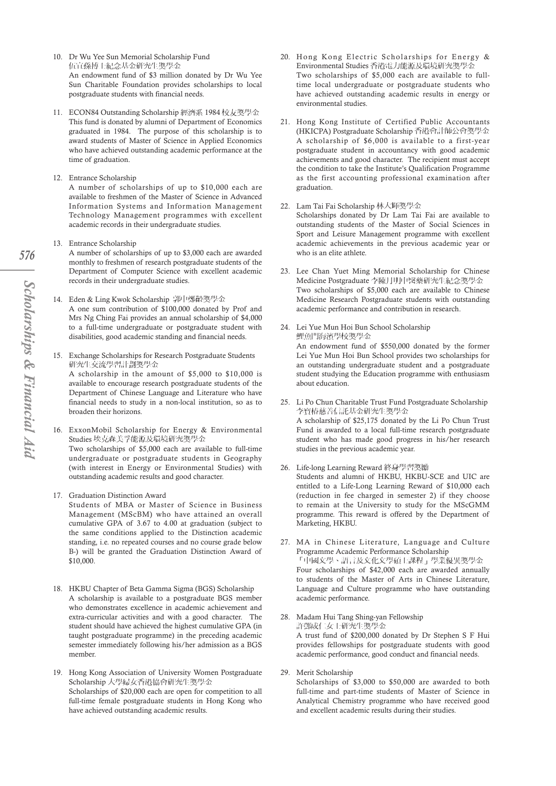- 10. Dr Wu Yee Sun Memorial Scholarship Fund 伍宜孫博士紀念基金研究生獎學金 An endowment fund of \$3 million donated by Dr Wu Yee Sun Charitable Foundation provides scholarships to local postgraduate students with financial needs.
- 11. ECON84 Outstanding Scholarship 經濟系 1984 校友獎學金 This fund is donated by alumni of Department of Economics graduated in 1984. The purpose of this scholarship is to award students of Master of Science in Applied Economics who have achieved outstanding academic performance at the time of graduation.
- 12. Entrance Scholarship

A number of scholarships of up to \$10,000 each are available to freshmen of the Master of Science in Advanced Information Systems and Information Management Technology Management programmes with excellent academic records in their undergraduate studies.

- 13. Entrance Scholarship A number of scholarships of up to \$3,000 each are awarded monthly to freshmen of research postgraduate students of the Department of Computer Science with excellent academic records in their undergraduate studies.
- 14. Eden & Ling Kwok Scholarship 郭中鄭齡獎學金 A one sum contribution of \$100,000 donated by Prof and Mrs Ng Ching Fai provides an annual scholarship of \$4,000 to a full-time undergraduate or postgraduate student with disabilities, good academic standing and financial needs.
- 15. Exchange Scholarships for Research Postgraduate Students 研究生交流壆習計劃獎壆金

A scholarship in the amount of \$5,000 to \$10,000 is available to encourage research postgraduate students of the Department of Chinese Language and Literature who have financial needs to study in a non-local institution, so as to broaden their horizons.

- 16. ExxonMobil Scholarship for Energy & Environmental Studies 埃克森美孚能源及環境研究獎學金 Two scholarships of \$5,000 each are available to full-time undergraduate or postgraduate students in Geography (with interest in Energy or Environmental Studies) with outstanding academic results and good character.
- 17. Graduation Distinction Award

Students of MBA or Master of Science in Business Management (MScBM) who have attained an overall cumulative GPA of 3.67 to 4.00 at graduation (subject to the same conditions applied to the Distinction academic standing, i.e. no repeated courses and no course grade below B-) will be granted the Graduation Distinction Award of \$10,000.

- 18. HKBU Chapter of Beta Gamma Sigma (BGS) Scholarship A scholarship is available to a postgraduate BGS member who demonstrates excellence in academic achievement and extra-curricular activities and with a good character. The student should have achieved the highest cumulative GPA (in taught postgraduate programme) in the preceding academic semester immediately following his/her admission as a BGS member.
- 19. Hong Kong Association of University Women Postgraduate Scholarship 大學婦女香港協會研究生獎學金 Scholarships of \$20,000 each are open for competition to all full-time female postgraduate students in Hong Kong who have achieved outstanding academic results.
- 20. Hong Kong Electric Scholarships for Energy & Environmental Studies 香港電力能源及環境研究獎學金 Two scholarships of \$5,000 each are available to fulltime local undergraduate or postgraduate students who have achieved outstanding academic results in energy or environmental studies.
- 21. Hong Kong Institute of Certified Public Accountants (HKICPA) Postgraduate Scholarship 香港會計師公會獎學金 A scholarship of \$6,000 is available to a first-year postgraduate student in accountancy with good academic achievements and good character. The recipient must accept the condition to take the Institute's Qualification Programme as the first accounting professional examination after graduation.
- 22. Lam Tai Fai Scholarship 林大輝獎學金 Scholarships donated by Dr Lam Tai Fai are available to outstanding students of the Master of Social Sciences in Sport and Leisure Management programme with excellent academic achievements in the previous academic year or who is an elite athlete.
- 23. Lee Chan Yuet Ming Memorial Scholarship for Chinese Medicine Postgraduate 李陳月明中醫藥研究生紀念獎學金 Two scholarships of \$5,000 each are available to Chinese Medicine Research Postgraduate students with outstanding academic performance and contribution in research.
- 24. Lei Yue Mun Hoi Bun School Scholarship 鯉魚門海濱學校獎學金 An endowment fund of \$550,000 donated by the former Lei Yue Mun Hoi Bun School provides two scholarships for an outstanding undergraduate student and a postgraduate student studying the Education programme with enthusiasm about education.
- 25. Li Po Chun Charitable Trust Fund Postgraduate Scholarship 李寶椿慈善信託基金研究生獎學金 A scholarship of \$25,175 donated by the Li Po Chun Trust Fund is awarded to a local full-time research postgraduate student who has made good progress in his/her research studies in the previous academic year.
- 26. Life-long Learning Reward 終身學習獎勵 Students and alumni of HKBU, HKBU-SCE and UIC are entitled to a Life-Long Learning Reward of \$10,000 each (reduction in fee charged in semester 2) if they choose to remain at the University to study for the MScGMM programme. This reward is offered by the Department of Marketing, HKBU.
- 27. MA in Chinese Literature, Language and Culture Programme Academic Performance Scholarship 「中國文學、語言及文化文學碩士課程」學業優異獎學金 Four scholarships of \$42,000 each are awarded annually to students of the Master of Arts in Chinese Literature, Language and Culture programme who have outstanding academic performance.
- 28. Madam Hui Tang Shing-yan Fellowship 許鄧成仁女士研究生獎學金 A trust fund of \$200,000 donated by Dr Stephen S F Hui provides fellowships for postgraduate students with good academic performance, good conduct and financial needs.
- 29. Merit Scholarship

Scholarships of \$3,000 to \$50,000 are awarded to both full-time and part-time students of Master of Science in Analytical Chemistry programme who have received good and excellent academic results during their studies.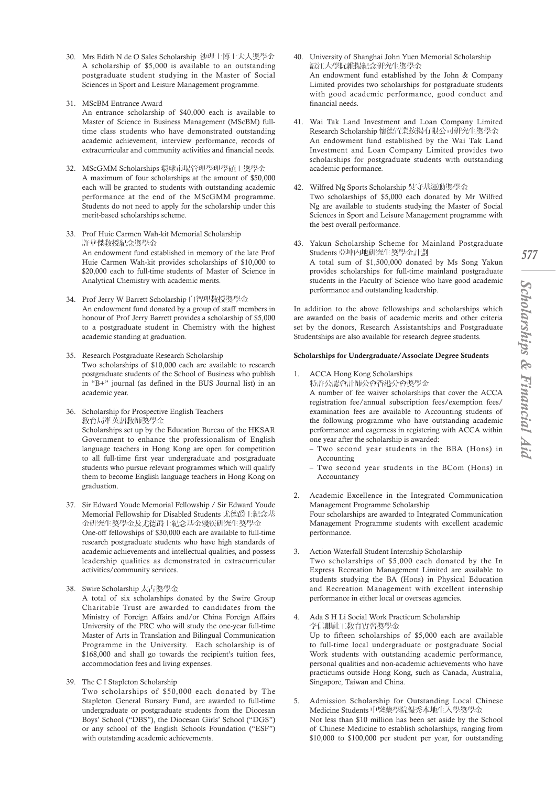- 30. Mrs Edith N de O Sales Scholarship 沙理士博士夫人獎學金 A scholarship of \$5,000 is available to an outstanding postgraduate student studying in the Master of Social Sciences in Sport and Leisure Management programme.
- 31. MScBM Entrance Award

An entrance scholarship of \$40,000 each is available to Master of Science in Business Management (MScBM) fulltime class students who have demonstrated outstanding academic achievement, interview performance, records of extracurricular and community activities and financial needs.

- 32. MScGMM Scholarships 環球市場管理學理學碩士獎學金 A maximum of four scholarships at the amount of \$50,000 each will be granted to students with outstanding academic performance at the end of the MScGMM programme. Students do not need to apply for the scholarship under this merit-based scholarships scheme.
- 33. Prof Huie Carmen Wah-kit Memorial Scholarship 許華傑教授紀念獎學金 An endowment fund established in memory of the late Prof Huie Carmen Wah-kit provides scholarships of \$10,000 to \$20,000 each to full-time students of Master of Science in Analytical Chemistry with academic merits.
- 34. Prof Jerry W Barrett Scholarship 白智理教授獎學金 An endowment fund donated by a group of staff members in honour of Prof Jerry Barrett provides a scholarship of \$5,000 to a postgraduate student in Chemistry with the highest academic standing at graduation.
- 35. Research Postgraduate Research Scholarship Two scholarships of \$10,000 each are available to research postgraduate students of the School of Business who publish in "B+" journal (as defined in the BUS Journal list) in an academic year.
- 36. Scholarship for Prospective English Teachers 教育局準英語教師獎學金 Scholarships set up by the Education Bureau of the HKSAR Government to enhance the professionalism of English language teachers in Hong Kong are open for competition to all full-time first year undergraduate and postgraduate students who pursue relevant programmes which will qualify them to become English language teachers in Hong Kong on graduation.
- 37. Sir Edward Youde Memorial Fellowship / Sir Edward Youde Memorial Fellowship for Disabled Students 尤德爵士紀念基 金研究生獎學金及尤德爵士紀念基金殘疾研究生獎學金 One-off fellowships of \$30,000 each are available to full-time research postgraduate students who have high standards of academic achievements and intellectual qualities, and possess leadership qualities as demonstrated in extracurricular activities/community services.
- 38. Swire Scholarship 太古獎學金 A total of six scholarships donated by the Swire Group Charitable Trust are awarded to candidates from the Ministry of Foreign Affairs and/or China Foreign Affairs
	- University of the PRC who will study the one-year full-time Master of Arts in Translation and Bilingual Communication Programme in the University. Each scholarship is of \$168,000 and shall go towards the recipient's tuition fees, accommodation fees and living expenses.
- 39. The C I Stapleton Scholarship

Two scholarships of \$50,000 each donated by The Stapleton General Bursary Fund, are awarded to full-time undergraduate or postgraduate students from the Diocesan Boys' School ("DBS"), the Diocesan Girls' School ("DGS") or any school of the English Schools Foundation ("ESF") with outstanding academic achievements.

- 40. University of Shanghai John Yuen Memorial Scholarship 滬江大學阮維揚紀念研究生獎學金 An endowment fund established by the John & Company Limited provides two scholarships for postgraduate students with good academic performance, good conduct and financial needs.
- 41. Wai Tak Land Investment and Loan Company Limited Research Scholarship 懷德置業按揭有限公司研究生獎學金 An endowment fund established by the Wai Tak Land Investment and Loan Company Limited provides two scholarships for postgraduate students with outstanding academic performance.
- 42. Wilfred Ng Sports Scholarship 吳守基運動獎學金 Two scholarships of \$5,000 each donated by Mr Wilfred Ng are available to students studying the Master of Social Sciences in Sport and Leisure Management programme with the best overall performance.
- 43. Yakun Scholarship Scheme for Mainland Postgraduate Students 亞坤內地研究生獎學金計劃 A total sum of \$1,500,000 donated by Ms Song Yakun provides scholarships for full-time mainland postgraduate students in the Faculty of Science who have good academic performance and outstanding leadership.

In addition to the above fellowships and scholarships which are awarded on the basis of academic merits and other criteria set by the donors, Research Assistantships and Postgraduate Studentships are also available for research degree students.

# Scholarships for Undergraduate/Associate Degree Students

1. ACCA Hong Kong Scholarships 特許公認會計師公會香港分會獎學金

A number of fee waiver scholarships that cover the ACCA registration fee/annual subscription fees/exemption fees/ examination fees are available to Accounting students of the following programme who have outstanding academic performance and eagerness in registering with ACCA within one year after the scholarship is awarded:

- Two second year students in the BBA (Hons) in Accounting
- Two second year students in the BCom (Hons) in Accountancy
- 2. Academic Excellence in the Integrated Communication Management Programme Scholarship Four scholarships are awarded to Integrated Communication Management Programme students with excellent academic performance.
- 3. Action Waterfall Student Internship Scholarship Two scholarships of \$5,000 each donated by the In Express Recreation Management Limited are available to students studying the BA (Hons) in Physical Education and Recreation Management with excellent internship performance in either local or overseas agencies.
- 4. Ada S H Li Social Work Practicum Scholarship 李信卿社工教育實習獎學金 Up to fifteen scholarships of \$5,000 each are available to full-time local undergraduate or postgraduate Social Work students with outstanding academic performance, personal qualities and non-academic achievements who have practicums outside Hong Kong, such as Canada, Australia, Singapore, Taiwan and China.
- 5. Admission Scholarship for Outstanding Local Chinese Medicine Students 中醫藥學院優秀本地生入學獎學金 Not less than \$10 million has been set aside by the School of Chinese Medicine to establish scholarships, ranging from \$10,000 to \$100,000 per student per year, for outstanding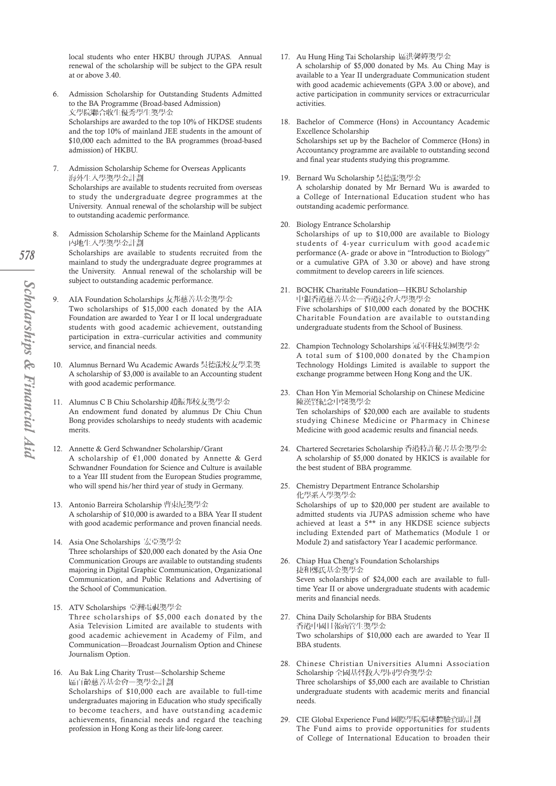local students who enter HKBU through JUPAS. Annual renewal of the scholarship will be subject to the GPA result at or above 3.40.

- 6. Admission Scholarship for Outstanding Students Admitted to the BA Programme (Broad-based Admission) 文學院聯合收生優秀學生獎學金 Scholarships are awarded to the top 10% of HKDSE students and the top 10% of mainland JEE students in the amount of \$10,000 each admitted to the BA programmes (broad-based admission) of HKBU.
- 7. Admission Scholarship Scheme for Overseas Applicants 海外生入學獎學金計劃 Scholarships are available to students recruited from overseas to study the undergraduate degree programmes at the University. Annual renewal of the scholarship will be subject to outstanding academic performance.
- 8. Admission Scholarship Scheme for the Mainland Applicants 內地生入學獎學金計劃 Scholarships are available to students recruited from the mainland to study the undergraduate degree programmes at the University. Annual renewal of the scholarship will be subject to outstanding academic performance.
- AIA Foundation Scholarships 友邦慈善基金獎學金 Two scholarships of \$15,000 each donated by the AIA Foundation are awarded to Year I or II local undergraduate students with good academic achievement, outstanding participation in extra–curricular activities and community service, and financial needs.
- 10. Alumnus Bernard Wu Academic Awards 吳德龍校友學業獎 A scholarship of \$3,000 is available to an Accounting student with good academic performance.
- 11. Alumnus C B Chiu Scholarship 趙振邦校友獎學金 An endowment fund donated by alumnus Dr Chiu Chun Bong provides scholarships to needy students with academic merits.
- 12. Annette & Gerd Schwandner Scholarship/Grant A scholarship of €1,000 donated by Annette & Gerd Schwandner Foundation for Science and Culture is available to a Year III student from the European Studies programme, who will spend his/her third year of study in Germany.
- 13. Antonio Barreira Scholarship 曹東尼獎學金 A scholarship of \$10,000 is awarded to a BBA Year II student with good academic performance and proven financial needs.
- 14. Asia One Scholarships 宏亞獎學金 Three scholarships of \$20,000 each donated by the Asia One Communication Groups are available to outstanding students majoring in Digital Graphic Communication, Organizational Communication, and Public Relations and Advertising of the School of Communication.
- 15. ATV Scholarships 亞洲電視獎學金 Three scholarships of \$5,000 each donated by the Asia Television Limited are available to students with good academic achievement in Academy of Film, and Communication—Broadcast Journalism Option and Chinese Journalism Option.
- 16. Au Bak Ling Charity Trust—Scholarship Scheme 區百齡慈善基金會一獎學金計劃 Scholarships of \$10,000 each are available to full-time undergraduates majoring in Education who study specifically to become teachers, and have outstanding academic achievements, financial needs and regard the teaching profession in Hong Kong as their life-long career.
- 17. Au Hung Hing Tai Scholarship 區洪馨嬋獎學金 A scholarship of \$5,000 donated by Ms. Au Ching May is available to a Year II undergraduate Communication student with good academic achievements (GPA 3.00 or above), and active participation in community services or extracurricular activities.
- 18. Bachelor of Commerce (Hons) in Accountancy Academic Excellence Scholarship Scholarships set up by the Bachelor of Commerce (Hons) in Accountancy programme are available to outstanding second and final year students studying this programme.
- 19. Bernard Wu Scholarship 吳德龍獎學金 A scholarship donated by Mr Bernard Wu is awarded to a College of International Education student who has outstanding academic performance.
- 20. Biology Entrance Scholarship Scholarships of up to \$10,000 are available to Biology students of 4-year curriculum with good academic performance (A- grade or above in "Introduction to Biology" or a cumulative GPA of 3.30 or above) and have strong commitment to develop careers in life sciences.
- 21. BOCHK Charitable Foundation—HKBU Scholarship 中銀香港慈善基金一香港浸會大學獎學金 Five scholarships of \$10,000 each donated by the BOCHK Charitable Foundation are available to outstanding undergraduate students from the School of Business.
- 22. Champion Technology Scholarships 冠軍科技集團獎學金 A total sum of \$100,000 donated by the Champion Technology Holdings Limited is available to support the exchange programme between Hong Kong and the UK.
- 23. Chan Hon Yin Memorial Scholarship on Chinese Medicine 陳漢賢紀念中醫獎學金 Ten scholarships of \$20,000 each are available to students studying Chinese Medicine or Pharmacy in Chinese Medicine with good academic results and financial needs.
- 24. Chartered Secretaries Scholarship 香港特許秘書基金獎學金 A scholarship of \$5,000 donated by HKICS is available for the best student of BBA programme.
- 25. Chemistry Department Entrance Scholarship 化學系入學獎學金 Scholarships of up to \$20,000 per student are available to admitted students via JUPAS admission scheme who have achieved at least a 5\*\* in any HKDSE science subjects including Extended part of Mathematics (Module 1 or Module 2) and satisfactory Year I academic performance.
- 26. Chiap Hua Cheng's Foundation Scholarships 捷和鄭氏基金獎學金 Seven scholarships of \$24,000 each are available to fulltime Year II or above undergraduate students with academic merits and financial needs.
- 27. China Daily Scholarship for BBA Students 香港中國日報商管生獎學金 Two scholarships of \$10,000 each are awarded to Year II BBA students.
- 28. Chinese Christian Universities Alumni Association Scholarship 全國基督教大學同學會獎學金 Three scholarships of \$5,000 each are available to Christian undergraduate students with academic merits and financial needs.
- 29. CIE Global Experience Fund 國際學院環球體驗資助計劃 The Fund aims to provide opportunities for students of College of International Education to broaden their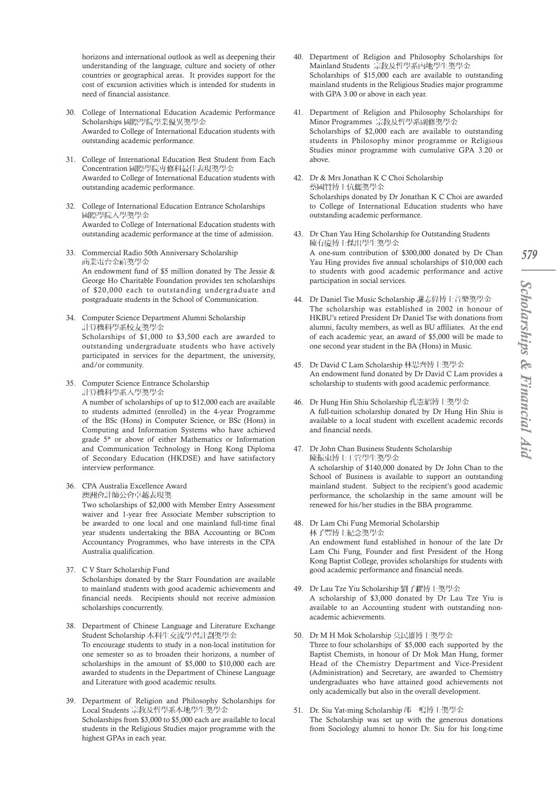horizons and international outlook as well as deepening their understanding of the language, culture and society of other countries or geographical areas. It provides support for the cost of excursion activities which is intended for students in need of financial assistance.

- 30. College of International Education Academic Performance Scholarships 國際學院學業優異獎學金 Awarded to College of International Education students with outstanding academic performance.
- 31. College of International Education Best Student from Each Concentration 國際學院專修科最佳表現獎學金 Awarded to College of International Education students with outstanding academic performance.
- 32. College of International Education Entrance Scholarships 國際學院入學獎學金 Awarded to College of International Education students with outstanding academic performance at the time of admission.
- 33. Commercial Radio 50th Anniversary Scholarship 商業電台金禧獎學金 An endowment fund of \$5 million donated by The Jessie & George Ho Charitable Foundation provides ten scholarships of \$20,000 each to outstanding undergraduate and postgraduate students in the School of Communication.
- 34. Computer Science Department Alumni Scholarship 計算機科學系校友獎學金 Scholarships of \$1,000 to \$3,500 each are awarded to outstanding undergraduate students who have actively participated in services for the department, the university, and/or community.
- 35. Computer Science Entrance Scholarship 計算機科學系入學獎學金

A number of scholarships of up to \$12,000 each are available to students admitted (enrolled) in the 4-year Programme of the BSc (Hons) in Computer Science, or BSc (Hons) in Computing and Information Systems who have achieved grade 5\* or above of either Mathematics or Information and Communication Technology in Hong Kong Diploma of Secondary Education (HKDSE) and have satisfactory interview performance.

36. CPA Australia Excellence Award 澳洲會計師公會卓越表現獎

Two scholarships of \$2,000 with Member Entry Assessment waiver and 1-year free Associate Member subscription to be awarded to one local and one mainland full-time final year students undertaking the BBA Accounting or BCom Accountancy Programmes, who have interests in the CPA Australia qualification.

- 37. C V Starr Scholarship Fund Scholarships donated by the Starr Foundation are available to mainland students with good academic achievements and financial needs. Recipients should not receive admission scholarships concurrently.
- 38. Department of Chinese Language and Literature Exchange Student Scholarship 本科生交流學習計劃獎學金 To encourage students to study in a non-local institution for one semester so as to broaden their horizons, a number of scholarships in the amount of \$5,000 to \$10,000 each are awarded to students in the Department of Chinese Language and Literature with good academic results.
- 39. Department of Religion and Philosophy Scholarships for Local Students 宗教及哲學系本地學生獎學金 Scholarships from \$3,000 to \$5,000 each are available to local students in the Religious Studies major programme with the highest GPAs in each year.
- 40. Department of Religion and Philosophy Scholarships for Mainland Students 宗教及哲學系內地學生獎學金 Scholarships of \$15,000 each are available to outstanding mainland students in the Religious Studies major programme with GPA 3.00 or above in each year.
- 41. Department of Religion and Philosophy Scholarships for Minor Programmes 宗教及哲學系副修獎學金 Scholarships of \$2,000 each are available to outstanding students in Philosophy minor programme or Religious Studies minor programme with cumulative GPA 3.20 or above.
- 42. Dr & Mrs Jonathan K C Choi Scholarship 蔡國贊博士伉儷獎學金 Scholarships donated by Dr Jonathan K C Choi are awarded to College of International Education students who have outstanding academic performance.
- 43. Dr Chan Yau Hing Scholarship for Outstanding Students 陳有慶博士傑出學生獎學金 A one-sum contribution of \$300,000 donated by Dr Chan Yau Hing provides five annual scholarships of \$10,000 each to students with good academic performance and active participation in social services.
- 44. Dr Daniel Tse Music Scholarship 謝志偉博士音樂獎學金 The scholarship was established in 2002 in honour of HKBU's retired President Dr Daniel Tse with donations from alumni, faculty members, as well as BU affiliates. At the end of each academic year, an award of \$5,000 will be made to one second year student in the BA (Hons) in Music.
- 45. Dr David C Lam Scholarship 林思齊博士獎學金 An endowment fund donated by Dr David C Lam provides a scholarship to students with good academic performance.
- 46. Dr Hung Hin Shiu Scholarship 孔憲紹博士獎學金 A full-tuition scholarship donated by Dr Hung Hin Shiu is available to a local student with excellent academic records and financial needs.
- 47. Dr John Chan Business Students Scholarship 陳振東博士工管學生獎學金 A scholarship of \$140,000 donated by Dr John Chan to the School of Business is available to support an outstanding mainland student. Subject to the recipient's good academic performance, the scholarship in the same amount will be renewed for his/her studies in the BBA programme.
- 48. Dr Lam Chi Fung Memorial Scholarship 林子豐博士紀念獎學金

An endowment fund established in honour of the late Dr Lam Chi Fung, Founder and first President of the Hong Kong Baptist College, provides scholarships for students with good academic performance and financial needs.

- 49. Dr Lau Tze Yiu Scholarship 劉子耀博士獎學金 A scholarship of \$3,000 donated by Dr Lau Tze Yiu is available to an Accounting student with outstanding nonacademic achievements.
- 50. Dr M H Mok Scholarship 莫民雄博士獎學金 Three to four scholarships of \$5,000 each supported by the Baptist Chemists, in honour of Dr Mok Man Hung, former Head of the Chemistry Department and Vice-President (Administration) and Secretary, are awarded to Chemistry undergraduates who have attained good achievements not only academically but also in the overall development.
- 51. Dr. Siu Yat-ming Scholarship 邵一鳴博士獎學金 The Scholarship was set up with the generous donations from Sociology alumni to honor Dr. Siu for his long-time

*579*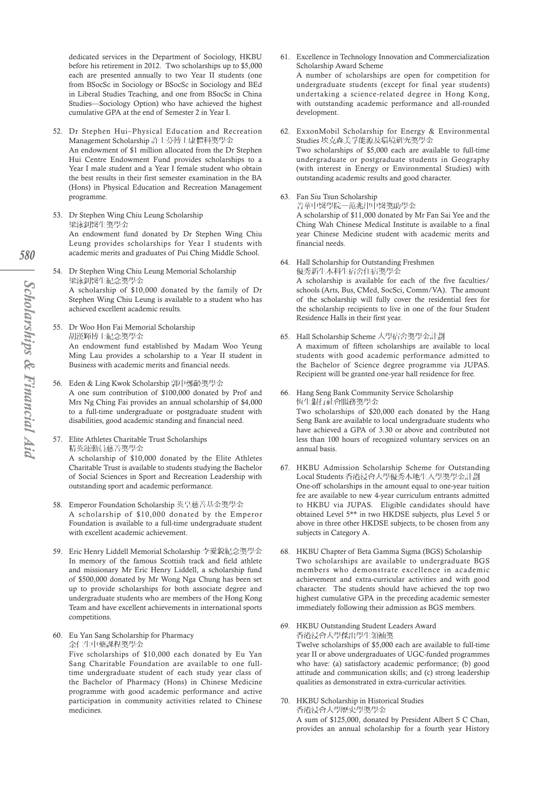dedicated services in the Department of Sociology, HKBU before his retirement in 2012. Two scholarships up to \$5,000 each are presented annually to two Year II students (one from BSocSc in Sociology or BSocSc in Sociology and BEd in Liberal Studies Teaching, and one from BSocSc in China Studies—Sociology Option) who have achieved the highest cumulative GPA at the end of Semester 2 in Year I.

- 52. Dr Stephen Hui–Physical Education and Recreation Management Scholarship 許士芬博士康體科獎學金 An endowment of \$1 million allocated from the Dr Stephen Hui Centre Endowment Fund provides scholarships to a Year I male student and a Year I female student who obtain the best results in their first semester examination in the BA (Hons) in Physical Education and Recreation Management programme.
- 53. Dr Stephen Wing Chiu Leung Scholarship 梁泳釗醫生獎學金 An endowment fund donated by Dr Stephen Wing Chiu Leung provides scholarships for Year I students with academic merits and graduates of Pui Ching Middle School.
- 54. Dr Stephen Wing Chiu Leung Memorial Scholarship 梁泳釗醫生紀念獎學金 A scholarship of \$10,000 donated by the family of Dr Stephen Wing Chiu Leung is available to a student who has achieved excellent academic results.
- 55. Dr Woo Hon Fai Memorial Scholarship 胡漢輝博士紀念獎學金 An endowment fund established by Madam Woo Yeung Ming Lau provides a scholarship to a Year II student in Business with academic merits and financial needs.
- 56. Eden & Ling Kwok Scholarship 郭中鄭齡獎學金 A one sum contribution of \$100,000 donated by Prof and Mrs Ng Ching Fai provides an annual scholarship of \$4,000 to a full-time undergraduate or postgraduate student with disabilities, good academic standing and financial need.
- 57. Elite Athletes Charitable Trust Scholarships 精英運動員慈善獎學金 A scholarship of \$10,000 donated by the Elite Athletes Charitable Trust is available to students studying the Bachelor of Social Sciences in Sport and Recreation Leadership with outstanding sport and academic performance.
- 58. Emperor Foundation Scholarship 英皇慈善基金獎學金 A scholarship of \$10,000 donated by the Emperor Foundation is available to a full-time undergraduate student with excellent academic achievement.
- 59. Eric Henry Liddell Memorial Scholarship 李愛銳紀念獎學金 In memory of the famous Scottish track and field athlete and missionary Mr Eric Henry Liddell, a scholarship fund of \$500,000 donated by Mr Wong Nga Chung has been set up to provide scholarships for both associate degree and undergraduate students who are members of the Hong Kong Team and have excellent achievements in international sports competitions.
- 60. Eu Yan Sang Scholarship for Pharmacy 余仁生中藥課程獎學金

Five scholarships of \$10,000 each donated by Eu Yan Sang Charitable Foundation are available to one fulltime undergraduate student of each study year class of the Bachelor of Pharmacy (Hons) in Chinese Medicine programme with good academic performance and active participation in community activities related to Chinese medicines.

- 61. Excellence in Technology Innovation and Commercialization Scholarship Award Scheme A number of scholarships are open for competition for undergraduate students (except for final year students) undertaking a science-related degree in Hong Kong, with outstanding academic performance and all-rounded development.
- 62. ExxonMobil Scholarship for Energy & Environmental Studies 埃克森美孚能源及環境研究獎學金 Two scholarships of \$5,000 each are available to full-time undergraduate or postgraduate students in Geography (with interest in Energy or Environmental Studies) with outstanding academic results and good character.
- 63. Fan Siu Tsun Scholarship 菁華中醫學院一范兆津中醫獎助學金 A scholarship of \$11,000 donated by Mr Fan Sai Yee and the Ching Wah Chinese Medical Institute is available to a final year Chinese Medicine student with academic merits and financial needs.
- 64. Hall Scholarship for Outstanding Freshmen 優秀新生本科生宿舍住宿獎學金 A scholarship is available for each of the five faculties/ schools (Arts, Bus, CMed, SocSci, Comm/VA). The amount of the scholarship will fully cover the residential fees for the scholarship recipients to live in one of the four Student Residence Halls in their first year.
- 65. Hall Scholarship Scheme 大學宿舍獎學金計劃 A maximum of fifteen scholarships are available to local students with good academic performance admitted to the Bachelor of Science degree programme via JUPAS. Recipient will be granted one-year hall residence for free.
- 66. Hang Seng Bank Community Service Scholarship 恆生銀行社會服務獎學金 Two scholarships of \$20,000 each donated by the Hang Seng Bank are available to local undergraduate students who have achieved a GPA of 3.30 or above and contributed not less than 100 hours of recognized voluntary services on an annual basis.
- 67. HKBU Admission Scholarship Scheme for Outstanding Local Students 香港浸會大學優秀本地生入學獎學金計劃 One-off scholarships in the amount equal to one-year tuition fee are available to new 4-year curriculum entrants admitted to HKBU via JUPAS. Eligible candidates should have obtained Level 5\*\* in two HKDSE subjects, plus Level 5 or above in three other HKDSE subjects, to be chosen from any subjects in Category A.
- 68. HKBU Chapter of Beta Gamma Sigma (BGS) Scholarship Two scholarships are available to undergraduate BGS members who demonstrate excellence in academic achievement and extra-curricular activities and with good character. The students should have achieved the top two highest cumulative GPA in the preceding academic semester immediately following their admission as BGS members.
- 69. HKBU Outstanding Student Leaders Award 香港浸會大學傑出學生領袖獎 Twelve scholarships of \$5,000 each are available to full-time year II or above undergraduates of UGC-funded programmes who have: (a) satisfactory academic performance; (b) good attitude and communication skills; and (c) strong leadership qualities as demonstrated in extra-curricular activities.
- 70. HKBU Scholarship in Historical Studies 香港浸會大學歷史學獎學金 A sum of \$125,000, donated by President Albert S C Chan, provides an annual scholarship for a fourth year History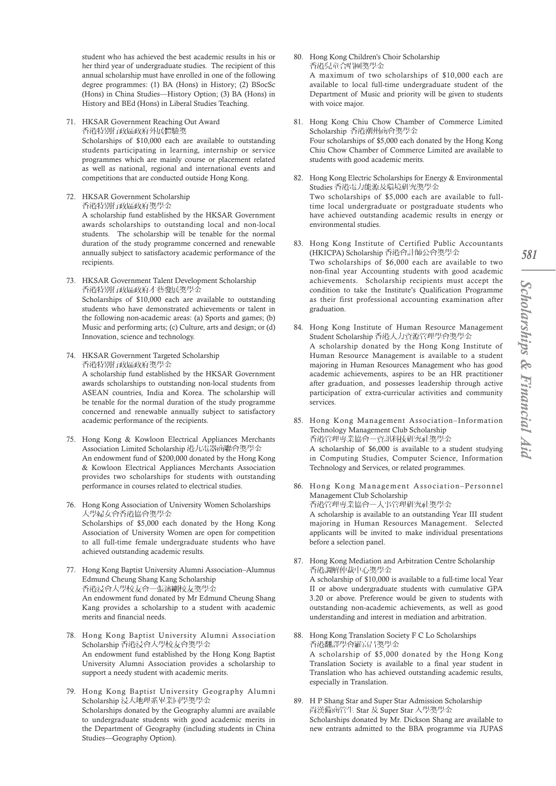student who has achieved the best academic results in his or her third year of undergraduate studies. The recipient of this annual scholarship must have enrolled in one of the following degree programmes: (1) BA (Hons) in History; (2) BSocSc (Hons) in China Studies—History Option; (3) BA (Hons) in History and BEd (Hons) in Liberal Studies Teaching.

- 71. HKSAR Government Reaching Out Award 香港特別行政區政府外展體驗獎 Scholarships of \$10,000 each are available to outstanding students participating in learning, internship or service programmes which are mainly course or placement related as well as national, regional and international events and
- competitions that are conducted outside Hong Kong. 72. HKSAR Government Scholarship 香港特別行政區政府獎學金 A scholarship fund established by the HKSAR Government

awards scholarships to outstanding local and non-local students. The scholarship will be tenable for the normal duration of the study programme concerned and renewable annually subject to satisfactory academic performance of the recipients.

- 73. HKSAR Government Talent Development Scholarship 香港特別行政區政府才藝發展獎學金 Scholarships of \$10,000 each are available to outstanding students who have demonstrated achievements or talent in the following non-academic areas: (a) Sports and games; (b) Music and performing arts; (c) Culture, arts and design; or (d) Innovation, science and technology.
- 74. HKSAR Government Targeted Scholarship 香港特別行政區政府獎學金

A scholarship fund established by the HKSAR Government awards scholarships to outstanding non-local students from ASEAN countries, India and Korea. The scholarship will be tenable for the normal duration of the study programme concerned and renewable annually subject to satisfactory academic performance of the recipients.

- 75. Hong Kong & Kowloon Electrical Appliances Merchants Association Limited Scholarship 港九電器商聯會獎學金 An endowment fund of \$200,000 donated by the Hong Kong & Kowloon Electrical Appliances Merchants Association provides two scholarships for students with outstanding performance in courses related to electrical studies.
- 76. Hong Kong Association of University Women Scholarships 大學婦女會香港協會獎學金 Scholarships of \$5,000 each donated by the Hong Kong Association of University Women are open for competition to all full-time female undergraduate students who have achieved outstanding academic results.
- 77. Hong Kong Baptist University Alumni Association–Alumnus Edmund Cheung Shang Kang Scholarship 香港浸會大學校友會一張瀋剛校友獎學金 An endowment fund donated by Mr Edmund Cheung Shang Kang provides a scholarship to a student with academic merits and financial needs.
- 78. Hong Kong Baptist University Alumni Association Scholarship 香港浸會大學校友會獎學金 An endowment fund established by the Hong Kong Baptist University Alumni Association provides a scholarship to support a needy student with academic merits.
- 79. Hong Kong Baptist University Geography Alumni Scholarship 浸大地理系畢業同學獎學金 Scholarships donated by the Geography alumni are available to undergraduate students with good academic merits in the Department of Geography (including students in China Studies—Geography Option).

80. Hong Kong Children's Choir Scholarship 香港兒童合唱團獎學金 A maximum of two scholarships of \$10,000 each are

available to local full-time undergraduate student of the Department of Music and priority will be given to students with voice major.

- 81. Hong Kong Chiu Chow Chamber of Commerce Limited Scholarship 香港潮州商會獎學金 Four scholarships of \$5,000 each donated by the Hong Kong Chiu Chow Chamber of Commerce Limited are available to students with good academic merits.
- 82. Hong Kong Electric Scholarships for Energy & Environmental Studies 香港電力能源及環境研究獎學金 Two scholarships of \$5,000 each are available to fulltime local undergraduate or postgraduate students who have achieved outstanding academic results in energy or environmental studies.
- 83. Hong Kong Institute of Certified Public Accountants (HKICPA) Scholarship 香港會計師公會獎學金 Two scholarships of \$6,000 each are available to two non-final year Accounting students with good academic achievements. Scholarship recipients must accept the condition to take the Institute's Qualification Programme as their first professional accounting examination after graduation.
- 84. Hong Kong Institute of Human Resource Management Student Scholarship 香港人力資源管理學會獎學金 A scholarship donated by the Hong Kong Institute of Human Resource Management is available to a student majoring in Human Resources Management who has good academic achievements, aspires to be an HR practitioner after graduation, and possesses leadership through active participation of extra-curricular activities and community services.
- 85. Hong Kong Management Association–Information Technology Management Club Scholarship 香港管理專業協會一資訊科技研究社獎學金 A scholarship of \$6,000 is available to a student studying in Computing Studies, Computer Science, Information Technology and Services, or related programmes.
- 86. Hong Kong Management Association–Personnel Management Club Scholarship 香港管理專業協會一人事管理研究社獎學金 A scholarship is available to an outstanding Year III student majoring in Human Resources Management. Selected applicants will be invited to make individual presentations
- 87. Hong Kong Mediation and Arbitration Centre Scholarship 香港調解仲裁中心獎學金 A scholarship of \$10,000 is available to a full-time local Year II or above undergraduate students with cumulative GPA 3.20 or above. Preference would be given to students with outstanding non-academic achievements, as well as good understanding and interest in mediation and arbitration.

before a selection panel.

- 88. Hong Kong Translation Society F C Lo Scholarships 香港翻譯學會羅富昌獎學金 A scholarship of \$5,000 donated by the Hong Kong Translation Society is available to a final year student in Translation who has achieved outstanding academic results, especially in Translation.
- 89. H P Shang Star and Super Star Admission Scholarship 尚漢備商管生 Star 及 Super Star 入學獎學金 Scholarships donated by Mr. Dickson Shang are available to new entrants admitted to the BBA programme via JUPAS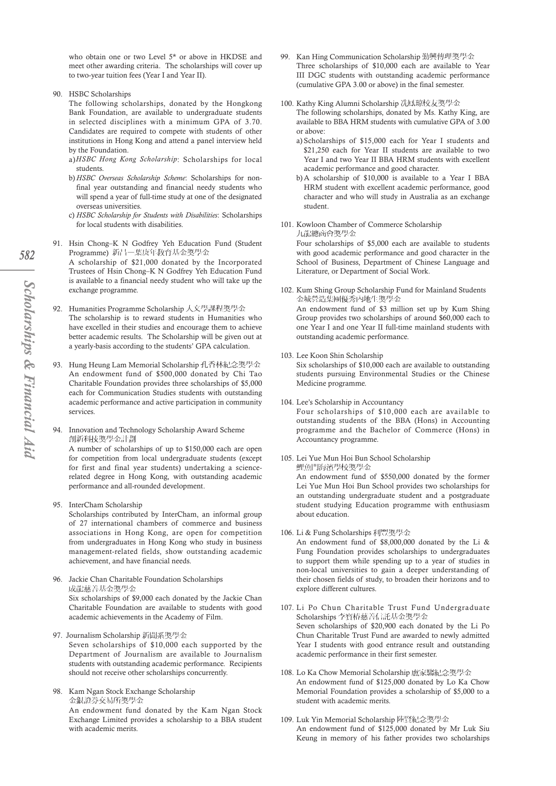who obtain one or two Level 5\* or above in HKDSE and meet other awarding criteria. The scholarships will cover up to two-year tuition fees (Year I and Year II).

90. HSBC Scholarships

The following scholarships, donated by the Hongkong Bank Foundation, are available to undergraduate students in selected disciplines with a minimum GPA of 3.70. Candidates are required to compete with students of other institutions in Hong Kong and attend a panel interview held by the Foundation.

- a)*HSBC Hong Kong Scholarship*: Scholarships for local students.
- b) *HSBC Overseas Scholarship Scheme*: Scholarships for nonfinal year outstanding and financial needy students who will spend a year of full-time study at one of the designated overseas universities.
- c) *HSBC Scholarship for Students with Disabilities*: Scholarships for local students with disabilities.
- 91. Hsin Chong–K N Godfrey Yeh Education Fund (Student Programme) 新昌一葉庚年教育基金獎學金 A scholarship of \$21,000 donated by the Incorporated
	- Trustees of Hsin Chong–K N Godfrey Yeh Education Fund is available to a financial needy student who will take up the exchange programme.
- 92. Humanities Programme Scholarship 人文學課程獎學金 The scholarship is to reward students in Humanities who have excelled in their studies and encourage them to achieve better academic results. The Scholarship will be given out at a yearly-basis according to the students' GPA calculation.
- 93. Hung Heung Lam Memorial Scholarship 孔香林紀念獎學金 An endowment fund of \$500,000 donated by Chi Tao Charitable Foundation provides three scholarships of \$5,000 each for Communication Studies students with outstanding academic performance and active participation in community services.
- 94. Innovation and Technology Scholarship Award Scheme 創新科技獎學金計劃

A number of scholarships of up to \$150,000 each are open for competition from local undergraduate students (except for first and final year students) undertaking a sciencerelated degree in Hong Kong, with outstanding academic performance and all-rounded development.

95. InterCham Scholarship

Scholarships contributed by InterCham, an informal group of 27 international chambers of commerce and business associations in Hong Kong, are open for competition from undergraduates in Hong Kong who study in business management-related fields, show outstanding academic achievement, and have financial needs.

96. Jackie Chan Charitable Foundation Scholarships 成龍慈善基金獎學金 Six scholarships of \$9,000 each donated by the Jackie Chan

Charitable Foundation are available to students with good academic achievements in the Academy of Film.

- 97. Journalism Scholarship 新聞系獎學金 Seven scholarships of \$10,000 each supported by the Department of Journalism are available to Journalism students with outstanding academic performance. Recipients should not receive other scholarships concurrently.
- 98. Kam Ngan Stock Exchange Scholarship 金銀證券交易所獎學金 An endowment fund donated by the Kam Ngan Stock Exchange Limited provides a scholarship to a BBA student with academic merits.
- 99. Kan Hing Communication Scholarship 勤興傳理獎學金 Three scholarships of \$10,000 each are available to Year III DGC students with outstanding academic performance (cumulative GPA 3.00 or above) in the final semester.
- 100. Kathy King Alumni Scholarship 冼鳳琼校友獎學金 The following scholarships, donated by Ms. Kathy King, are available to BBA HRM students with cumulative GPA of 3.00 or above:
	- a) Scholarships of \$15,000 each for Year I students and \$21,250 each for Year II students are available to two Year I and two Year II BBA HRM students with excellent academic performance and good character.
	- b) A scholarship of \$10,000 is available to a Year I BBA HRM student with excellent academic performance, good character and who will study in Australia as an exchange student.
- 101. Kowloon Chamber of Commerce Scholarship 九龍總商會獎學金

Four scholarships of \$5,000 each are available to students with good academic performance and good character in the School of Business, Department of Chinese Language and Literature, or Department of Social Work.

- 102. Kum Shing Group Scholarship Fund for Mainland Students 金城營造集團優秀內地生獎學金 An endowment fund of \$3 million set up by Kum Shing Group provides two scholarships of around \$60,000 each to one Year I and one Year II full-time mainland students with
- 103. Lee Koon Shin Scholarship

outstanding academic performance.

Six scholarships of \$10,000 each are available to outstanding students pursuing Environmental Studies or the Chinese Medicine programme.

- 104. Lee's Scholarship in Accountancy Four scholarships of \$10,000 each are available to outstanding students of the BBA (Hons) in Accounting programme and the Bachelor of Commerce (Hons) in Accountancy programme.
- 105. Lei Yue Mun Hoi Bun School Scholarship 鯉魚門海濱學校獎學金 An endowment fund of \$550,000 donated by the former

Lei Yue Mun Hoi Bun School provides two scholarships for an outstanding undergraduate student and a postgraduate student studying Education programme with enthusiasm about education.

106. Li & Fung Scholarships 利豐獎學金

An endowment fund of \$8,000,000 donated by the Li & Fung Foundation provides scholarships to undergraduates to support them while spending up to a year of studies in non-local universities to gain a deeper understanding of their chosen fields of study, to broaden their horizons and to explore different cultures.

- 107. Li Po Chun Charitable Trust Fund Undergraduate Scholarships 李寶椿慈善信託基金獎學金 Seven scholarships of \$20,900 each donated by the Li Po Chun Charitable Trust Fund are awarded to newly admitted Year I students with good entrance result and outstanding academic performance in their first semester.
- 108. Lo Ka Chow Memorial Scholarship 盧家騶紀念獎學金 An endowment fund of \$125,000 donated by Lo Ka Chow Memorial Foundation provides a scholarship of \$5,000 to a student with academic merits.
- 109. Luk Yin Memorial Scholarship 陸賢紀念獎學金 An endowment fund of \$125,000 donated by Mr Luk Siu Keung in memory of his father provides two scholarships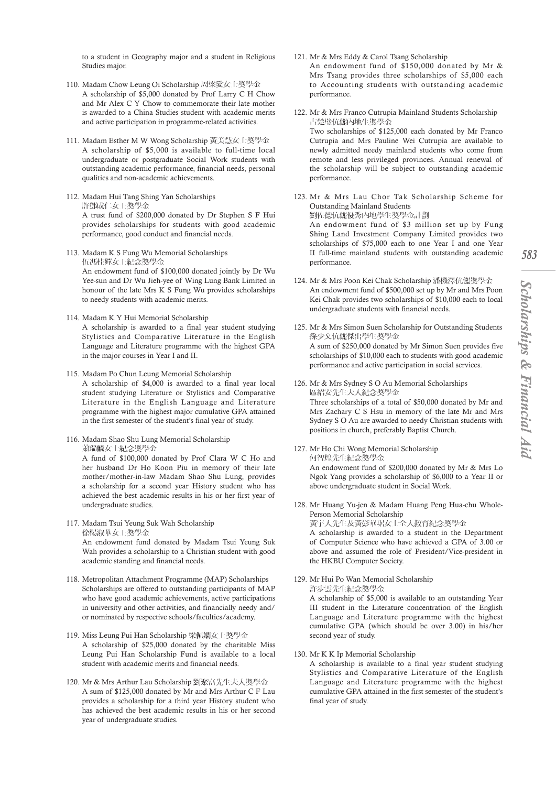*583*

to a student in Geography major and a student in Religious Studies major.

- 110. Madam Chow Leung Oi Scholarship 周梁愛女士獎學金 A scholarship of \$5,000 donated by Prof Larry C H Chow and Mr Alex C Y Chow to commemorate their late mother is awarded to a China Studies student with academic merits and active participation in programme-related activities.
- 111. Madam Esther M W Wong Scholarship 黃美慧女士獎學金 A scholarship of \$5,000 is available to full-time local undergraduate or postgraduate Social Work students with outstanding academic performance, financial needs, personal qualities and non-academic achievements.
- 112. Madam Hui Tang Shing Yan Scholarships 許鄧成仁女士獎學金 A trust fund of \$200,000 donated by Dr Stephen S F Hui provides scholarships for students with good academic performance, good conduct and financial needs.
- 113. Madam K S Fung Wu Memorial Scholarships 伍馮桂嬋女士紀念獎學金 An endowment fund of \$100,000 donated jointly by Dr Wu Yee-sun and Dr Wu Jieh-yee of Wing Lung Bank Limited in honour of the late Mrs K S Fung Wu provides scholarships to needy students with academic merits.
- 114. Madam K Y Hui Memorial Scholarship A scholarship is awarded to a final year student studying Stylistics and Comparative Literature in the English Language and Literature programme with the highest GPA in the major courses in Year I and II.
- 115. Madam Po Chun Leung Memorial Scholarship A scholarship of \$4,000 is awarded to a final year local student studying Literature or Stylistics and Comparative Literature in the English Language and Literature programme with the highest major cumulative GPA attained in the first semester of the student's final year of study.
- 116. Madam Shao Shu Lung Memorial Scholarship 蕭瑞麟女士紀念獎學金 A fund of \$100,000 donated by Prof Clara W C Ho and her husband Dr Ho Koon Piu in memory of their late mother/mother-in-law Madam Shao Shu Lung, provides a scholarship for a second year History student who has achieved the best academic results in his or her first year of undergraduate studies.
- 117. Madam Tsui Yeung Suk Wah Scholarship 徐楊淑華女士獎學金

An endowment fund donated by Madam Tsui Yeung Suk Wah provides a scholarship to a Christian student with good academic standing and financial needs.

- 118. Metropolitan Attachment Programme (MAP) Scholarships Scholarships are offered to outstanding participants of MAP who have good academic achievements, active participations in university and other activities, and financially needy and/ or nominated by respective schools/faculties/academy.
- 119. Miss Leung Pui Han Scholarship 梁佩嫻女士獎學金 A scholarship of \$25,000 donated by the charitable Miss Leung Pui Han Scholarship Fund is available to a local student with academic merits and financial needs.
- 120. Mr & Mrs Arthur Lau Scholarship 劉聚富先生夫人獎學金 A sum of \$125,000 donated by Mr and Mrs Arthur C F Lau provides a scholarship for a third year History student who has achieved the best academic results in his or her second year of undergraduate studies.
- 121. Mr & Mrs Eddy & Carol Tsang Scholarship An endowment fund of \$150,000 donated by Mr & Mrs Tsang provides three scholarships of \$5,000 each to Accounting students with outstanding academic performance.
- 122. Mr & Mrs Franco Cutrupia Mainland Students Scholarship 古楚璧伉儷內地生獎學金 Two scholarships of \$125,000 each donated by Mr Franco Cutrupia and Mrs Pauline Wei Cutrupia are available to newly admitted needy mainland students who come from remote and less privileged provinces. Annual renewal of the scholarship will be subject to outstanding academic performance.
- 123. Mr & Mrs Lau Chor Tak Scholarship Scheme for Outstanding Mainland Students 劉佐德伉儷優秀內地學生獎學金計劃 An endowment fund of \$3 million set up by Fung Shing Land Investment Company Limited provides two scholarships of \$75,000 each to one Year I and one Year II full-time mainland students with outstanding academic performance.
- 124. Mr & Mrs Poon Kei Chak Scholarship 潘機澤伉儷獎學金 An endowment fund of \$500,000 set up by Mr and Mrs Poon Kei Chak provides two scholarships of \$10,000 each to local undergraduate students with financial needs.
- 125. Mr & Mrs Simon Suen Scholarship for Outstanding Students 孫少文伉儷傑出學生獎學金 A sum of \$250,000 donated by Mr Simon Suen provides five scholarships of \$10,000 each to students with good academic performance and active participation in social services.
- 126. Mr & Mrs Sydney S O Au Memorial Scholarships 區紹安先生夫人紀念獎學金 Three scholarships of a total of \$50,000 donated by Mr and Mrs Zachary C S Hsu in memory of the late Mr and Mrs Sydney S O Au are awarded to needy Christian students with positions in church, preferably Baptist Church.
- 127. Mr Ho Chi Wong Memorial Scholarship 何智煌先生紀念獎學金 An endowment fund of \$200,000 donated by Mr & Mrs Lo Ngok Yang provides a scholarship of \$6,000 to a Year II or above undergraduate student in Social Work.
- 128. Mr Huang Yu-jen & Madam Huang Peng Hua-chu Whole-Person Memorial Scholarship 黃宇人先生及黃彭華琚女士全人教育紀念獎學金 A scholarship is awarded to a student in the Department of Computer Science who have achieved a GPA of 3.00 or above and assumed the role of President/Vice-president in the HKBU Computer Society.
- 129. Mr Hui Po Wan Memorial Scholarship 許步雲先生紀念獎學金

A scholarship of \$5,000 is available to an outstanding Year III student in the Literature concentration of the English Language and Literature programme with the highest cumulative GPA (which should be over 3.00) in his/her second year of study.

130. Mr K K Ip Memorial Scholarship

A scholarship is available to a final year student studying Stylistics and Comparative Literature of the English Language and Literature programme with the highest cumulative GPA attained in the first semester of the student's final year of study.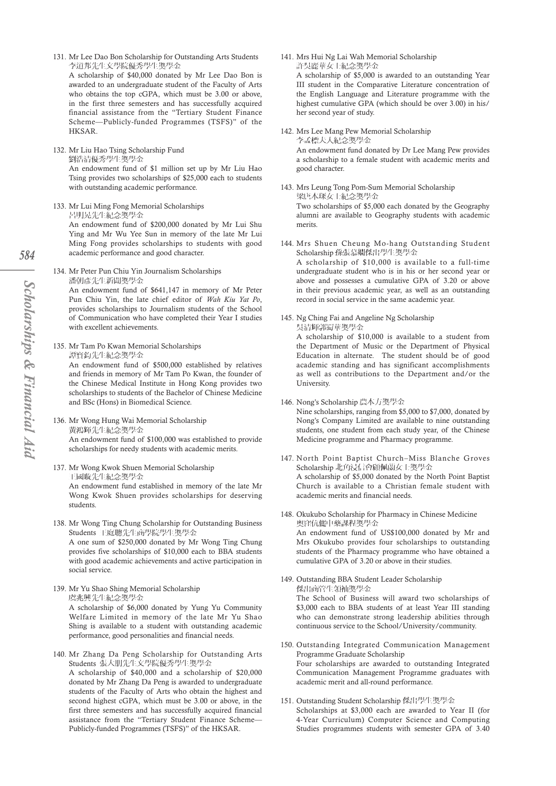131. Mr Lee Dao Bon Scholarship for Outstanding Arts Students 李道邦先生文學院優秀學生獎學金

A scholarship of \$40,000 donated by Mr Lee Dao Bon is awarded to an undergraduate student of the Faculty of Arts who obtains the top cGPA, which must be 3.00 or above, in the first three semesters and has successfully acquired financial assistance from the "Tertiary Student Finance Scheme—Publicly-funded Programmes (TSFS)" of the HKSAR.

- 132. Mr Liu Hao Tsing Scholarship Fund
	- 劉浩清優秀學生獎學金

An endowment fund of \$1 million set up by Mr Liu Hao Tsing provides two scholarships of \$25,000 each to students with outstanding academic performance.

133. Mr Lui Ming Fong Memorial Scholarships 呂明晃先生紀念獎學金

An endowment fund of \$200,000 donated by Mr Lui Shu Ying and Mr Wu Yee Sun in memory of the late Mr Lui Ming Fong provides scholarships to students with good academic performance and good character.

134. Mr Peter Pun Chiu Yin Journalism Scholarships 潘朝彥先生新聞獎學金

An endowment fund of \$641,147 in memory of Mr Peter Pun Chiu Yin, the late chief editor of *Wah Kiu Yat Po*, provides scholarships to Journalism students of the School of Communication who have completed their Year I studies with excellent achievements.

135. Mr Tam Po Kwan Memorial Scholarships 譚寶鈞先生紀念獎學金

> An endowment fund of \$500,000 established by relatives and friends in memory of Mr Tam Po Kwan, the founder of the Chinese Medical Institute in Hong Kong provides two scholarships to students of the Bachelor of Chinese Medicine and BSc (Hons) in Biomedical Science.

136. Mr Wong Hung Wai Memorial Scholarship 黃鴻輝先生紀念獎學金

An endowment fund of \$100,000 was established to provide scholarships for needy students with academic merits.

137. Mr Wong Kwok Shuen Memorial Scholarship 王國璇先生紀念獎學金

An endowment fund established in memory of the late Mr Wong Kwok Shuen provides scholarships for deserving students.

138. Mr Wong Ting Chung Scholarship for Outstanding Business Students 王庭聰先生商學院學生獎學金

A one sum of \$250,000 donated by Mr Wong Ting Chung provides five scholarships of \$10,000 each to BBA students with good academic achievements and active participation in social service.

- 139. Mr Yu Shao Shing Memorial Scholarship 虞兆興先生紀念獎學金 A scholarship of \$6,000 donated by Yung Yu Community Welfare Limited in memory of the late Mr Yu Shao Shing is available to a student with outstanding academic performance, good personalities and financial needs.
- 140. Mr Zhang Da Peng Scholarship for Outstanding Arts Students 張大朋先生文學院優秀學生獎學金

A scholarship of \$40,000 and a scholarship of \$20,000 donated by Mr Zhang Da Peng is awarded to undergraduate students of the Faculty of Arts who obtain the highest and second highest cGPA, which must be 3.00 or above, in the first three semesters and has successfully acquired financial assistance from the "Tertiary Student Finance Scheme— Publicly-funded Programmes (TSFS)" of the HKSAR.

141. Mrs Hui Ng Lai Wah Memorial Scholarship 許吳麗華女士紀念獎學金

142. Mrs Lee Mang Pew Memorial Scholarship

A scholarship of \$5,000 is awarded to an outstanding Year III student in the Comparative Literature concentration of the English Language and Literature programme with the highest cumulative GPA (which should be over 3.00) in his/ her second year of study.

李孟標夫人紀念獎學金 An endowment fund donated by Dr Lee Mang Pew provides a scholarship to a female student with academic merits and good character.

- 143. Mrs Leung Tong Pom-Sum Memorial Scholarship 梁唐本琛女士紀念獎學金 Two scholarships of \$5,000 each donated by the Geography alumni are available to Geography students with academic merits.
- 144. Mrs Shuen Cheung Mo-hang Outstanding Student Scholarship 孫張慕嫻傑出學生獎學金 A scholarship of \$10,000 is available to a full-time

undergraduate student who is in his or her second year or above and possesses a cumulative GPA of 3.20 or above in their previous academic year, as well as an outstanding record in social service in the same academic year.

145. Ng Ching Fai and Angeline Ng Scholarship 吳清輝郭蜀華獎學金

A scholarship of \$10,000 is available to a student from the Department of Music or the Department of Physical Education in alternate. The student should be of good academic standing and has significant accomplishments as well as contributions to the Department and/or the University.

146. Nong's Scholarship 農本方獎學金

Nine scholarships, ranging from \$5,000 to \$7,000, donated by Nong's Company Limited are available to nine outstanding students, one student from each study year, of the Chinese Medicine programme and Pharmacy programme.

- 147. North Point Baptist Church–Miss Blanche Groves Scholarship 北角浸信會顧佩蘭女士獎學金 A scholarship of \$5,000 donated by the North Point Baptist Church is available to a Christian female student with academic merits and financial needs.
- 148. Okukubo Scholarship for Pharmacy in Chinese Medicine 奧窪伉儷中藥課程獎學金 An endowment fund of US\$100,000 donated by Mr and Mrs Okukubo provides four scholarships to outstanding students of the Pharmacy programme who have obtained a cumulative GPA of 3.20 or above in their studies.
- 149. Outstanding BBA Student Leader Scholarship 傑出商管牛領袖獎學金 The School of Business will award two scholarships of \$3,000 each to BBA students of at least Year III standing who can demonstrate strong leadership abilities through continuous service to the School/University/community.
- 150. Outstanding Integrated Communication Management Programme Graduate Scholarship Four scholarships are awarded to outstanding Integrated Communication Management Programme graduates with academic merit and all-round performance.
- 151. Outstanding Student Scholarship 傑出學生獎學金 Scholarships at \$3,000 each are awarded to Year II (for 4-Year Curriculum) Computer Science and Computing Studies programmes students with semester GPA of 3.40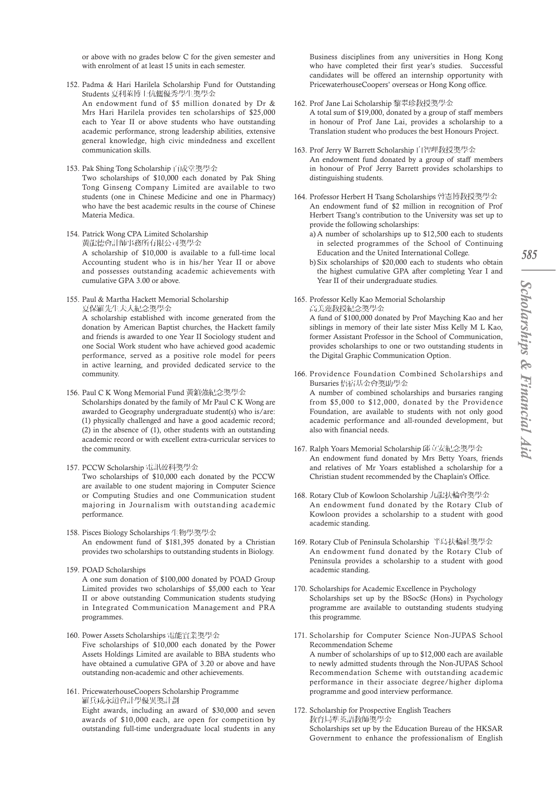- 152. Padma & Hari Harilela Scholarship Fund for Outstanding Students 夏利萊博士伉儷優秀學生獎學金 An endowment fund of \$5 million donated by Dr & Mrs Hari Harilela provides ten scholarships of \$25,000 each to Year II or above students who have outstanding academic performance, strong leadership abilities, extensive general knowledge, high civic mindedness and excellent communication skills.
- 153. Pak Shing Tong Scholarship 百成堂獎學金

Two scholarships of \$10,000 each donated by Pak Shing Tong Ginseng Company Limited are available to two students (one in Chinese Medicine and one in Pharmacy) who have the best academic results in the course of Chinese Materia Medica.

154. Patrick Wong CPA Limited Scholarship 黃龍德會計師事務所有限公司獎學金

A scholarship of \$10,000 is available to a full-time local Accounting student who is in his/her Year II or above and possesses outstanding academic achievements with cumulative GPA 3.00 or above.

155. Paul & Martha Hackett Memorial Scholarship 夏保羅先生夫人紀念獎學金

A scholarship established with income generated from the donation by American Baptist churches, the Hackett family and friends is awarded to one Year II Sociology student and one Social Work student who have achieved good academic performance, served as a positive role model for peers in active learning, and provided dedicated service to the community.

156. Paul C K Wong Memorial Fund 黃鎮強紀念獎學金

Scholarships donated by the family of Mr Paul C K Wong are awarded to Geography undergraduate student(s) who is/are: (1) physically challenged and have a good academic record; (2) in the absence of (1), other students with an outstanding academic record or with excellent extra-curricular services to the community.

157. PCCW Scholarship 電訊盈科獎學金

programmes.

Two scholarships of \$10,000 each donated by the PCCW are available to one student majoring in Computer Science or Computing Studies and one Communication student majoring in Journalism with outstanding academic performance.

- 158. Pisces Biology Scholarships 生物學獎學金 An endowment fund of \$181,395 donated by a Christian provides two scholarships to outstanding students in Biology.
- 159. POAD Scholarships A one sum donation of \$100,000 donated by POAD Group Limited provides two scholarships of \$5,000 each to Year II or above outstanding Communication students studying in Integrated Communication Management and PRA
- 160. Power Assets Scholarships 電能實業獎學金 Five scholarships of \$10,000 each donated by the Power Assets Holdings Limited are available to BBA students who have obtained a cumulative GPA of 3.20 or above and have outstanding non-academic and other achievements.
- 161. PricewaterhouseCoopers Scholarship Programme 羅兵咸永道會計學優異獎計劃 Eight awards, including an award of \$30,000 and seven awards of \$10,000 each, are open for competition by outstanding full-time undergraduate local students in any

Business disciplines from any universities in Hong Kong who have completed their first year's studies. Successful candidates will be offered an internship opportunity with PricewaterhouseCoopers' overseas or Hong Kong office.

- 162. Prof Jane Lai Scholarship 黎翠珍教授獎學金 A total sum of \$19,000, donated by a group of staff members in honour of Prof Jane Lai, provides a scholarship to a Translation student who produces the best Honours Project.
- 163. Prof Jerry W Barrett Scholarship 白智理教授獎學金 An endowment fund donated by a group of staff members in honour of Prof Jerry Barrett provides scholarships to distinguishing students.
- 164. Professor Herbert H Tsang Scholarships 曾憲博教授獎學金 An endowment fund of \$2 million in recognition of Prof Herbert Tsang's contribution to the University was set up to provide the following scholarships:
	- a) A number of scholarships up to \$12,500 each to students in selected programmes of the School of Continuing Education and the United International College.
	- b) Six scholarships of \$20,000 each to students who obtain the highest cumulative GPA after completing Year I and Year II of their undergraduate studies.
- 165. Professor Kelly Kao Memorial Scholarship 高美蓮教授紀念獎學金 A fund of \$100,000 donated by Prof Mayching Kao and her

siblings in memory of their late sister Miss Kelly M L Kao, former Assistant Professor in the School of Communication, provides scholarships to one or two outstanding students in the Digital Graphic Communication Option.

- 166. Providence Foundation Combined Scholarships and Bursaries 悟宿基金會獎助學金 A number of combined scholarships and bursaries ranging from \$5,000 to \$12,000, donated by the Providence Foundation, are available to students with not only good academic performance and all-rounded development, but
- 167. Ralph Yoars Memorial Scholarship 邱立安紀念獎學金 An endowment fund donated by Mrs Betty Yoars, friends and relatives of Mr Yoars established a scholarship for a Christian student recommended by the Chaplain's Office.

also with financial needs.

- 168. Rotary Club of Kowloon Scholarship 九龍扶輪會獎學金 An endowment fund donated by the Rotary Club of Kowloon provides a scholarship to a student with good academic standing.
- 169. Rotary Club of Peninsula Scholarship 半島扶輪社獎學金 An endowment fund donated by the Rotary Club of Peninsula provides a scholarship to a student with good academic standing.
- 170. Scholarships for Academic Excellence in Psychology Scholarships set up by the BSocSc (Hons) in Psychology programme are available to outstanding students studying this programme.
- 171. Scholarship for Computer Science Non-JUPAS School Recommendation Scheme A number of scholarships of up to \$12,000 each are available to newly admitted students through the Non-JUPAS School Recommendation Scheme with outstanding academic performance in their associate degree/higher diploma programme and good interview performance.
- 172. Scholarship for Prospective English Teachers 教育局準英語教師獎學金 Scholarships set up by the Education Bureau of the HKSAR Government to enhance the professionalism of English

*585*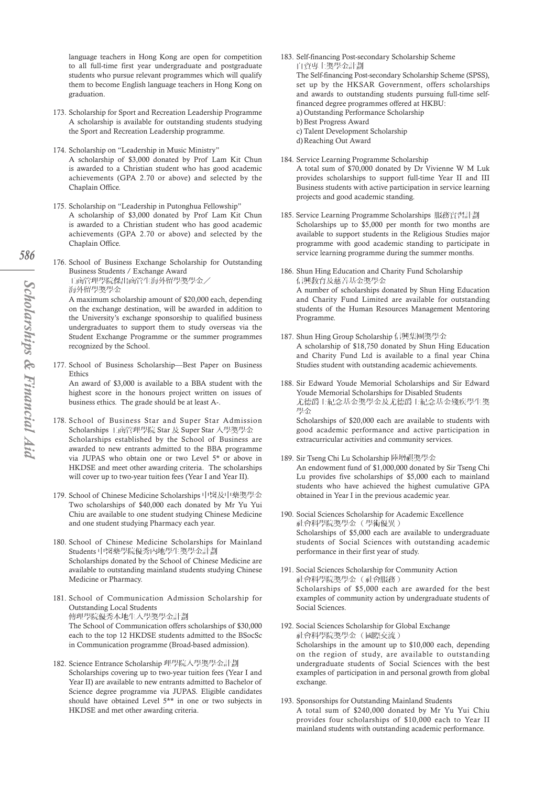language teachers in Hong Kong are open for competition to all full-time first year undergraduate and postgraduate students who pursue relevant programmes which will qualify them to become English language teachers in Hong Kong on graduation.

- 173. Scholarship for Sport and Recreation Leadership Programme A scholarship is available for outstanding students studying the Sport and Recreation Leadership programme.
- 174. Scholarship on "Leadership in Music Ministry" A scholarship of \$3,000 donated by Prof Lam Kit Chun is awarded to a Christian student who has good academic achievements (GPA 2.70 or above) and selected by the Chaplain Office.
- 175. Scholarship on "Leadership in Putonghua Fellowship" A scholarship of \$3,000 donated by Prof Lam Kit Chun is awarded to a Christian student who has good academic achievements (GPA 2.70 or above) and selected by the Chaplain Office.
- 176. School of Business Exchange Scholarship for Outstanding Business Students / Exchange Award 工商管理學院傑出商管生海外留學獎學金 海外留學獎學金 A maximum scholarship amount of \$20,000 each, depending

on the exchange destination, will be awarded in addition to the University's exchange sponsorship to qualified business undergraduates to support them to study overseas via the Student Exchange Programme or the summer programmes recognized by the School.

177. School of Business Scholarship—Best Paper on Business Ethics

An award of \$3,000 is available to a BBA student with the highest score in the honours project written on issues of business ethics. The grade should be at least A-.

- 178. School of Business Star and Super Star Admission Scholarships 工商管理學院 Star 及 Super Star 入學獎學金 Scholarships established by the School of Business are awarded to new entrants admitted to the BBA programme via JUPAS who obtain one or two Level 5\* or above in HKDSE and meet other awarding criteria. The scholarships will cover up to two-year tuition fees (Year I and Year II).
- 179. School of Chinese Medicine Scholarships 中醫及中藥獎學金 Two scholarships of \$40,000 each donated by Mr Yu Yui Chiu are available to one student studying Chinese Medicine and one student studying Pharmacy each year.
- 180. School of Chinese Medicine Scholarships for Mainland Students 中醫藥學院優秀內地學生獎學金計劃 Scholarships donated by the School of Chinese Medicine are available to outstanding mainland students studying Chinese Medicine or Pharmacy.
- 181. School of Communication Admission Scholarship for Outstanding Local Students 傳理學院優秀本地生入學獎學金計劃 The School of Communication offers scholarships of \$30,000 each to the top 12 HKDSE students admitted to the BSocSc in Communication programme (Broad-based admission).
- 182. Science Entrance Scholarship 理學院入學獎學金計劃 Scholarships covering up to two-year tuition fees (Year I and Year II) are available to new entrants admitted to Bachelor of Science degree programme via JUPAS. Eligible candidates should have obtained Level 5\*\* in one or two subjects in HKDSE and met other awarding criteria.
- 183. Self-financing Post-secondary Scholarship Scheme 自資專上獎學金計劃 The Self-financing Post-secondary Scholarship Scheme (SPSS), set up by the HKSAR Government, offers scholarships and awards to outstanding students pursuing full-time selffinanced degree programmes offered at HKBU: a) Outstanding Performance Scholarship b) Best Progress Award c) Talent Development Scholarship d)Reaching Out Award
- 184. Service Learning Programme Scholarship A total sum of \$70,000 donated by Dr Vivienne W M Luk provides scholarships to support full-time Year II and III Business students with active participation in service learning projects and good academic standing.
- 185. Service Learning Programme Scholarships 服務實習計劃 Scholarships up to \$5,000 per month for two months are available to support students in the Religious Studies major programme with good academic standing to participate in service learning programme during the summer months.
- 186. Shun Hing Education and Charity Fund Scholarship 信興教育及慈善基金獎學金 A number of scholarships donated by Shun Hing Education and Charity Fund Limited are available for outstanding students of the Human Resources Management Mentoring Programme.
- 187. Shun Hing Group Scholarship 信興集團獎學金 A scholarship of \$18,750 donated by Shun Hing Education and Charity Fund Ltd is available to a final year China Studies student with outstanding academic achievements.
- 188. Sir Edward Youde Memorial Scholarships and Sir Edward Youde Memorial Scholarships for Disabled Students 尤德爵士紀念基金獎學金及尤德爵士紀念基金殘疾學生獎 學金

Scholarships of \$20,000 each are available to students with good academic performance and active participation in extracurricular activities and community services.

- 189. Sir Tseng Chi Lu Scholarship 陸增祺獎學金 An endowment fund of \$1,000,000 donated by Sir Tseng Chi Lu provides five scholarships of \$5,000 each to mainland students who have achieved the highest cumulative GPA obtained in Year I in the previous academic year.
- 190. Social Sciences Scholarship for Academic Excellence 社會科學院獎學金 (學術優異) Scholarships of \$5,000 each are available to undergraduate students of Social Sciences with outstanding academic performance in their first year of study.
- 191. Social Sciences Scholarship for Community Action 計會科學院獎學金 (計會服務) Scholarships of \$5,000 each are awarded for the best examples of community action by undergraduate students of Social Sciences.
- 192. Social Sciences Scholarship for Global Exchange 社會科學院獎學金 (國際交流) Scholarships in the amount up to \$10,000 each, depending on the region of study, are available to outstanding undergraduate students of Social Sciences with the best examples of participation in and personal growth from global exchange.
- 193. Sponsorships for Outstanding Mainland Students A total sum of \$240,000 donated by Mr Yu Yui Chiu provides four scholarships of \$10,000 each to Year II mainland students with outstanding academic performance.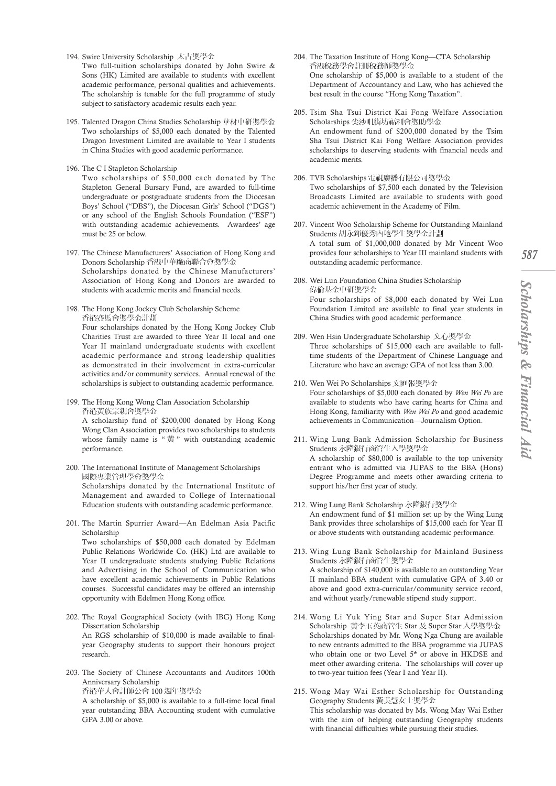- 194. Swire University Scholarship 太古獎學金
- Two full-tuition scholarships donated by John Swire & Sons (HK) Limited are available to students with excellent academic performance, personal qualities and achievements. The scholarship is tenable for the full programme of study subject to satisfactory academic results each year.
- 195. Talented Dragon China Studies Scholarship 華材中研獎學金 Two scholarships of \$5,000 each donated by the Talented Dragon Investment Limited are available to Year I students in China Studies with good academic performance.
- 196. The C I Stapleton Scholarship

Two scholarships of \$50,000 each donated by The Stapleton General Bursary Fund, are awarded to full-time undergraduate or postgraduate students from the Diocesan Boys' School ("DBS"), the Diocesan Girls' School ("DGS") or any school of the English Schools Foundation ("ESF") with outstanding academic achievements. Awardees' age must be 25 or below.

- 197. The Chinese Manufacturers' Association of Hong Kong and Donors Scholarship 香港中華廠商聯合會獎學金 Scholarships donated by the Chinese Manufacturers' Association of Hong Kong and Donors are awarded to students with academic merits and financial needs.
- 198. The Hong Kong Jockey Club Scholarship Scheme 香港賽馬會獎學金計劃 Four scholarships donated by the Hong Kong Jockey Club Charities Trust are awarded to three Year II local and one Year II mainland undergraduate students with excellent academic performance and strong leadership qualities as demonstrated in their involvement in extra-curricular activities and/or community services. Annual renewal of the scholarships is subject to outstanding academic performance.
- 199. The Hong Kong Wong Clan Association Scholarship 香港黃族宗親會獎學金

A scholarship fund of \$200,000 donated by Hong Kong Wong Clan Association provides two scholarships to students whose family name is "黃" with outstanding academic performance.

- 200. The International Institute of Management Scholarships 國際專業管理學會獎學金 Scholarships donated by the International Institute of Management and awarded to College of International Education students with outstanding academic performance.
- 201. The Martin Spurrier Award—An Edelman Asia Pacific Scholarship

Two scholarships of \$50,000 each donated by Edelman Public Relations Worldwide Co. (HK) Ltd are available to Year II undergraduate students studying Public Relations and Advertising in the School of Communication who have excellent academic achievements in Public Relations courses. Successful candidates may be offered an internship opportunity with Edelmen Hong Kong office.

- 202. The Royal Geographical Society (with IBG) Hong Kong Dissertation Scholarship An RGS scholarship of \$10,000 is made available to finalyear Geography students to support their honours project research.
- 203. The Society of Chinese Accountants and Auditors 100th Anniversary Scholarship 香港華人會計師公會 100 週年獎學金

A scholarship of \$5,000 is available to a full-time local final year outstanding BBA Accounting student with cumulative GPA 3.00 or above.

- 204. The Taxation Institute of Hong Kong—CTA Scholarship 香港稅務學會註冊稅務師獎學金 One scholarship of \$5,000 is available to a student of the Department of Accountancy and Law, who has achieved the best result in the course "Hong Kong Taxation".
- 205. Tsim Sha Tsui District Kai Fong Welfare Association Scholarships 尖沙咀街坊福利會獎助學金 An endowment fund of \$200,000 donated by the Tsim Sha Tsui District Kai Fong Welfare Association provides scholarships to deserving students with financial needs and academic merits.
- 206. TVB Scholarships 電視廣播有限公司獎學金 Two scholarships of \$7,500 each donated by the Television Broadcasts Limited are available to students with good academic achievement in the Academy of Film.
- 207. Vincent Woo Scholarship Scheme for Outstanding Mainland Students 胡永輝優秀內地學生獎學金計劃 A total sum of \$1,000,000 donated by Mr Vincent Woo provides four scholarships to Year III mainland students with outstanding academic performance.
- 208. Wei Lun Foundation China Studies Scholarship 偉倫基金中研獎學金 Four scholarships of \$8,000 each donated by Wei Lun Foundation Limited are available to final year students in China Studies with good academic performance.
- 209. Wen Hsin Undergraduate Scholarship 文心獎學金 Three scholarships of \$15,000 each are available to fulltime students of the Department of Chinese Language and Literature who have an average GPA of not less than 3.00.
- 210. Wen Wei Po Scholarships 文匯報獎學金 Four scholarships of \$5,000 each donated by *Wen Wei Po* are available to students who have caring hearts for China and Hong Kong, familiarity with *Wen Wei Po* and good academic achievements in Communication—Journalism Option.
- 211. Wing Lung Bank Admission Scholarship for Business Students 永降銀行商管生入學獎學金 A scholarship of \$80,000 is available to the top university entrant who is admitted via JUPAS to the BBA (Hons) Degree Programme and meets other awarding criteria to support his/her first year of study.
- 212. Wing Lung Bank Scholarship 永隆銀行獎學金 An endowment fund of \$1 million set up by the Wing Lung Bank provides three scholarships of \$15,000 each for Year II or above students with outstanding academic performance.
- 213. Wing Lung Bank Scholarship for Mainland Business Students 永降銀行商管生獎學金 A scholarship of \$140,000 is available to an outstanding Year II mainland BBA student with cumulative GPA of 3.40 or above and good extra-curricular/community service record, and without yearly/renewable stipend study support.
- 214. Wong Li Yuk Ying Star and Super Star Admission Scholarship 黃李玉英商管生 Star 及 Super Star 入學獎學金 Scholarships donated by Mr. Wong Nga Chung are available to new entrants admitted to the BBA programme via JUPAS who obtain one or two Level 5\* or above in HKDSE and meet other awarding criteria. The scholarships will cover up to two-year tuition fees (Year I and Year II).
- 215. Wong May Wai Esther Scholarship for Outstanding Geography Students 黃美慧女士獎學金 This scholarship was donated by Ms. Wong May Wai Esther with the aim of helping outstanding Geography students with financial difficulties while pursuing their studies.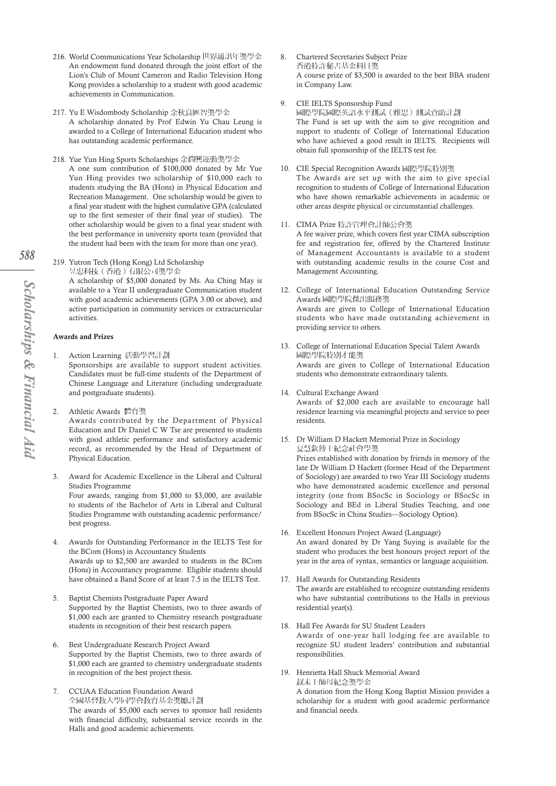- 216. World Communications Year Scholarship 世界通訊年獎學金 An endowment fund donated through the joint effort of the Lion's Club of Mount Cameron and Radio Television Hong Kong provides a scholarship to a student with good academic achievements in Communication.
- 217. Yu E Wisdombody Scholarship 余秋良匯智獎學金 A scholarship donated by Prof Edwin Yu Chau Leung is awarded to a College of International Education student who has outstanding academic performance.
- 218. Yue Yun Hing Sports Scholarships 余潤興運動獎學金 A one sum contribution of \$100,000 donated by Mr Yue Yun Hing provides two scholarship of \$10,000 each to students studying the BA (Hons) in Physical Education and Recreation Management. One scholarship would be given to a final year student with the highest cumulative GPA (calculated up to the first semester of their final year of studies). The other scholarship would be given to a final year student with the best performance in university sports team (provided that the student had been with the team for more than one year).
- 219. Yutron Tech (Hong Kong) Ltd Scholarship 昱忠科技 (香港) 有限公司獎學金 A scholarship of \$5,000 donated by Ms. Au Ching May is available to a Year II undergraduate Communication student with good academic achievements (GPA 3.00 or above), and active participation in community services or extracurricular activities.

## Awards and Prizes

- Action Learning 活動學習計劃 Sponsorships are available to support student activities. Candidates must be full-time students of the Department of Chinese Language and Literature (including undergraduate and postgraduate students).
- 2. Athletic Awards 體育獎

Awards contributed by the Department of Physical Education and Dr Daniel C W Tse are presented to students with good athletic performance and satisfactory academic record, as recommended by the Head of Department of Physical Education.

- 3. Award for Academic Excellence in the Liberal and Cultural Studies Programme Four awards, ranging from \$1,000 to \$3,000, are available to students of the Bachelor of Arts in Liberal and Cultural Studies Programme with outstanding academic performance/ best progress.
- 4. Awards for Outstanding Performance in the IELTS Test for the BCom (Hons) in Accountancy Students Awards up to \$2,500 are awarded to students in the BCom (Hons) in Accountancy programme. Eligible students should have obtained a Band Score of at least 7.5 in the IELTS Test.
- 5. Baptist Chemists Postgraduate Paper Award Supported by the Baptist Chemists, two to three awards of \$1,000 each are granted to Chemistry research postgraduate students in recognition of their best research papers.
- 6. Best Undergraduate Research Project Award Supported by the Baptist Chemists, two to three awards of \$1,000 each are granted to chemistry undergraduate students in recognition of the best project thesis.
- 7. CCUAA Education Foundation Award 全國基督教大學同學會教育基金獎勵計劃 The awards of \$5,000 each serves to sponsor hall residents with financial difficulty, substantial service records in the Halls and good academic achievements.
- 8. Chartered Secretaries Subject Prize 香港特許秘書基金科目獎 A course prize of \$3,500 is awarded to the best BBA student in Company Law.
- 9. CIE IELTS Sponsorship Fund 國際學院國際英語水平測試(雅思)測試資助計劃 The Fund is set up with the aim to give recognition and support to students of College of International Education who have achieved a good result in IELTS. Recipients will obtain full sponsorship of the IELTS test fee.
- 10. CIE Special Recognition Awards 國際學院特別獎 The Awards are set up with the aim to give special recognition to students of College of International Education who have shown remarkable achievements in academic or other areas despite physical or circumstantial challenges.

#### 11. CIMA Prize 特許管理會計師公會獎

A fee waiver prize, which covers first year CIMA subscription fee and registration fee, offered by the Chartered Institute of Management Accountants is available to a student with outstanding academic results in the course Cost and Management Accounting.

- 12. College of International Education Outstanding Service Awards 國際學院傑出服務獎 Awards are given to College of International Education students who have made outstanding achievement in providing service to others.
- 13. College of International Education Special Talent Awards 國際學院特別才能獎 Awards are given to College of International Education students who demonstrate extraordinary talents.
- 14. Cultural Exchange Award Awards of \$2,000 each are available to encourage hall residence learning via meaningful projects and service to peer residents.
- 15. Dr William D Hackett Memorial Prize in Sociology 夏慧欽博士紀念社會學獎 Prizes established with donation by friends in memory of the late Dr William D Hackett (former Head of the Department of Sociology) are awarded to two Year III Sociology students who have demonstrated academic excellence and personal integrity (one from BSocSc in Sociology or BSocSc in Sociology and BEd in Liberal Studies Teaching, and one from BSocSc in China Studies—Sociology Option).
- 16. Excellent Honours Project Award (Language) An award donated by Dr Yang Suying is available for the student who produces the best honours project report of the year in the area of syntax, semantics or language acquisition.
- 17. Hall Awards for Outstanding Residents The awards are established to recognize outstanding residents who have substantial contributions to the Halls in previous residential year(s).
- 18. Hall Fee Awards for SU Student Leaders
	- Awards of one-year hall lodging fee are available to recognize SU student leaders' contribution and substantial responsibilities.
- 19. Henrietta Hall Shuck Memorial Award 叔未士師母紀念獎學金

A donation from the Hong Kong Baptist Mission provides a scholarship for a student with good academic performance and financial needs.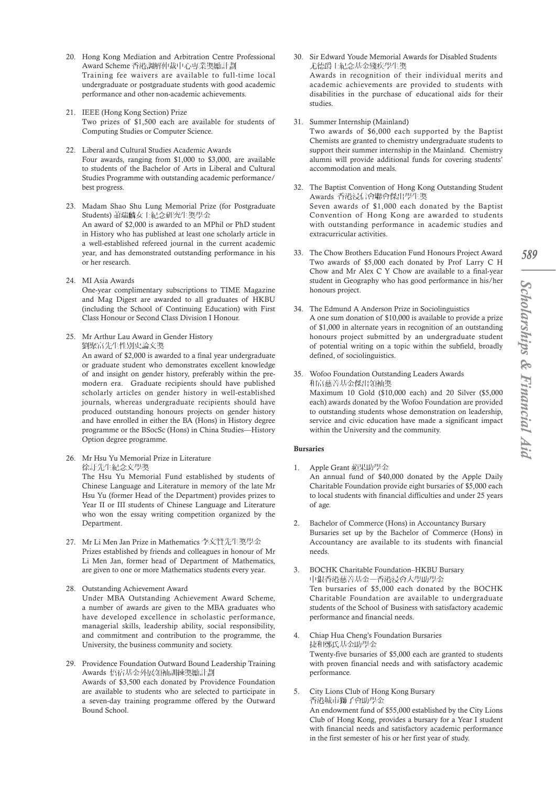- 20. Hong Kong Mediation and Arbitration Centre Professional Award Scheme 香港調解仲裁中心專業獎勵計劃 Training fee waivers are available to full-time local undergraduate or postgraduate students with good academic performance and other non-academic achievements.
- 21. IEEE (Hong Kong Section) Prize Two prizes of \$1,500 each are available for students of Computing Studies or Computer Science.
- 22. Liberal and Cultural Studies Academic Awards Four awards, ranging from \$1,000 to \$3,000, are available to students of the Bachelor of Arts in Liberal and Cultural Studies Programme with outstanding academic performance/ best progress.

23. Madam Shao Shu Lung Memorial Prize (for Postgraduate Students) 蕭瑞麟女士紀念研究生獎學金 An award of \$2,000 is awarded to an MPhil or PhD student in History who has published at least one scholarly article in a well-established refereed journal in the current academic year, and has demonstrated outstanding performance in his or her research.

24. MI Asia Awards

One-year complimentary subscriptions to TIME Magazine and Mag Digest are awarded to all graduates of HKBU (including the School of Continuing Education) with First Class Honour or Second Class Division I Honour.

25. Mr Arthur Lau Award in Gender History 劉聚富先生性別史論文獎

An award of \$2,000 is awarded to a final year undergraduate or graduate student who demonstrates excellent knowledge of and insight on gender history, preferably within the premodern era. Graduate recipients should have published scholarly articles on gender history in well-established journals, whereas undergraduate recipients should have produced outstanding honours projects on gender history and have enrolled in either the BA (Hons) in History degree programme or the BSocSc (Hons) in China Studies—History Option degree programme.

26. Mr Hsu Yu Memorial Prize in Literature 徐訏先生紀念文學獎

The Hsu Yu Memorial Fund established by students of Chinese Language and Literature in memory of the late Mr Hsu Yu (former Head of the Department) provides prizes to Year II or III students of Chinese Language and Literature who won the essay writing competition organized by the Department.

- 27. Mr Li Men Jan Prize in Mathematics 李文贊先生獎學金 Prizes established by friends and colleagues in honour of Mr Li Men Jan, former head of Department of Mathematics, are given to one or more Mathematics students every year.
- 28. Outstanding Achievement Award Under MBA Outstanding Achievement Award Scheme, a number of awards are given to the MBA graduates who have developed excellence in scholastic performance, managerial skills, leadership ability, social responsibility, and commitment and contribution to the programme, the University, the business community and society.
- 29. Providence Foundation Outward Bound Leadership Training Awards 悟宿基金外展領袖訓練獎勵計劃 Awards of \$3,500 each donated by Providence Foundation are available to students who are selected to participate in a seven-day training programme offered by the Outward

Bound School.

- 30. Sir Edward Youde Memorial Awards for Disabled Students 尤德爵士紀念基金殘疾學生獎 Awards in recognition of their individual merits and academic achievements are provided to students with disabilities in the purchase of educational aids for their studies.
- 31. Summer Internship (Mainland)

Two awards of \$6,000 each supported by the Baptist Chemists are granted to chemistry undergraduate students to support their summer internship in the Mainland. Chemistry alumni will provide additional funds for covering students' accommodation and meals.

- 32. The Baptist Convention of Hong Kong Outstanding Student Awards 香港浸信會聯會傑出學生獎 Seven awards of \$1,000 each donated by the Baptist Convention of Hong Kong are awarded to students with outstanding performance in academic studies and extracurricular activities.
- 33. The Chow Brothers Education Fund Honours Project Award Two awards of \$5,000 each donated by Prof Larry C H Chow and Mr Alex C Y Chow are available to a final-year student in Geography who has good performance in his/her honours project.
- 34. The Edmund A Anderson Prize in Sociolinguistics A one sum donation of \$10,000 is available to provide a prize of \$1,000 in alternate years in recognition of an outstanding honours project submitted by an undergraduate student of potential writing on a topic within the subfield, broadly defined, of sociolinguistics.
- 35. Wofoo Foundation Outstanding Leaders Awards 和富慈善基金傑出領袖獎 Maximum 10 Gold (\$10,000 each) and 20 Silver (\$5,000 each) awards donated by the Wofoo Foundation are provided to outstanding students whose demonstration on leadership, service and civic education have made a significant impact within the University and the community.

# Bursaries

1. Apple Grant 蘋果助學金

An annual fund of \$40,000 donated by the Apple Daily Charitable Foundation provide eight bursaries of \$5,000 each to local students with financial difficulties and under 25 years of age.

- 2. Bachelor of Commerce (Hons) in Accountancy Bursary Bursaries set up by the Bachelor of Commerce (Hons) in Accountancy are available to its students with financial needs.
- 3. BOCHK Charitable Foundation–HKBU Bursary 中銀香港慈善基金一香港浸會大學助學金 Ten bursaries of \$5,000 each donated by the BOCHK Charitable Foundation are available to undergraduate students of the School of Business with satisfactory academic performance and financial needs.
- 4. Chiap Hua Cheng's Foundation Bursaries 捷和鄭氏基金助學金 Twenty-five bursaries of \$5,000 each are granted to students with proven financial needs and with satisfactory academic performance.
- 5. City Lions Club of Hong Kong Bursary 香港城市獅子會助學金 An endowment fund of \$55,000 established by the City Lions Club of Hong Kong, provides a bursary for a Year I student with financial needs and satisfactory academic performance in the first semester of his or her first year of study.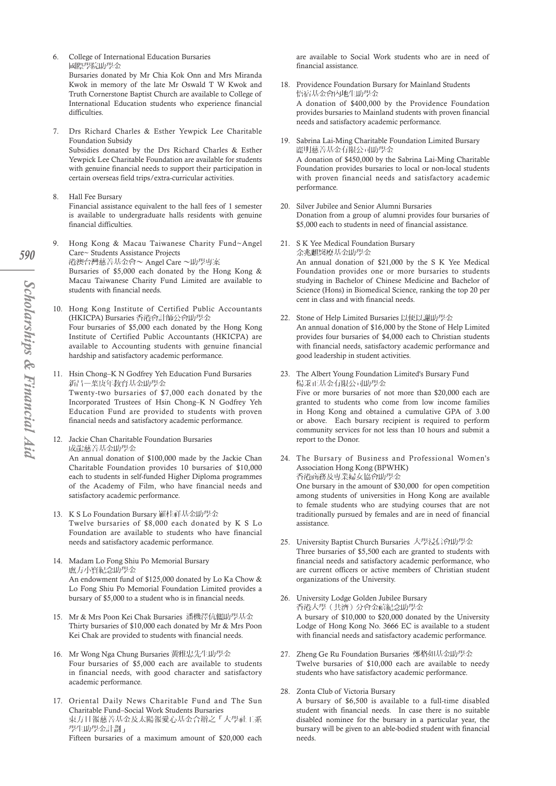6. College of International Education Bursaries 國際學院助學金

Bursaries donated by Mr Chia Kok Onn and Mrs Miranda Kwok in memory of the late Mr Oswald T W Kwok and Truth Cornerstone Baptist Church are available to College of International Education students who experience financial difficulties.

- 7. Drs Richard Charles & Esther Yewpick Lee Charitable Foundation Subsidy Subsidies donated by the Drs Richard Charles & Esther Yewpick Lee Charitable Foundation are available for students with genuine financial needs to support their participation in certain overseas field trips/extra-curricular activities.
- 8. Hall Fee Bursary Financial assistance equivalent to the hall fees of 1 semester is available to undergraduate halls residents with genuine financial difficulties.
- 9. Hong Kong & Macau Taiwanese Charity Fund~Angel Care~ Students Assistance Projects 港澳台灣慈善基金會~ Angel Care ~助學專案 Bursaries of \$5,000 each donated by the Hong Kong & Macau Taiwanese Charity Fund Limited are available to students with financial needs.
- 10. Hong Kong Institute of Certified Public Accountants (HKICPA) Bursaries 香港會計師公會助學金 Four bursaries of \$5,000 each donated by the Hong Kong Institute of Certified Public Accountants (HKICPA) are available to Accounting students with genuine financial hardship and satisfactory academic performance.
- 11. Hsin Chong–K N Godfrey Yeh Education Fund Bursaries 新昌一葉庚年教育基金助學金 Twenty-two bursaries of \$7,000 each donated by the Incorporated Trustees of Hsin Chong–K N Godfrey Yeh Education Fund are provided to students with proven

financial needs and satisfactory academic performance.

- 12. Jackie Chan Charitable Foundation Bursaries 成龍慈善基金助學金 An annual donation of \$100,000 made by the Jackie Chan Charitable Foundation provides 10 bursaries of \$10,000 each to students in self-funded Higher Diploma programmes of the Academy of Film, who have financial needs and satisfactory academic performance.
- 13. K S Lo Foundation Bursary 羅桂祥基金助學金 Twelve bursaries of \$8,000 each donated by K S Lo Foundation are available to students who have financial needs and satisfactory academic performance.
- 14. Madam Lo Fong Shiu Po Memorial Bursary 盧方小寶紀念助學金 An endowment fund of \$125,000 donated by Lo Ka Chow & Lo Fong Shiu Po Memorial Foundation Limited provides a bursary of \$5,000 to a student who is in financial needs.
- 15. Mr & Mrs Poon Kei Chak Bursaries 潘機澤伉儷助學基金 Thirty bursaries of \$10,000 each donated by Mr & Mrs Poon Kei Chak are provided to students with financial needs.
- 16. Mr Wong Nga Chung Bursaries 黃雅忠先生助學金 Four bursaries of \$5,000 each are available to students in financial needs, with good character and satisfactory academic performance.
- 17. Oriental Daily News Charitable Fund and The Sun Charitable Fund–Social Work Students Bursaries 東方日報慈善基金及太陽報愛心基金合辦之「大學社工系 學生助學金計劃」 Fifteen bursaries of a maximum amount of \$20,000 each

are available to Social Work students who are in need of financial assistance.

- 18. Providence Foundation Bursary for Mainland Students 悟宿基金會內地生助學金 A donation of \$400,000 by the Providence Foundation provides bursaries to Mainland students with proven financial needs and satisfactory academic performance.
- 19. Sabrina Lai-Ming Charitable Foundation Limited Bursary 麗明慈善基金有限公司助學金 A donation of \$450,000 by the Sabrina Lai-Ming Charitable Foundation provides bursaries to local or non-local students with proven financial needs and satisfactory academic performance.
- 20. Silver Jubilee and Senior Alumni Bursaries Donation from a group of alumni provides four bursaries of \$5,000 each to students in need of financial assistance.
- 21. S K Yee Medical Foundation Bursary 余兆麒醫療基金助學金 An annual donation of \$21,000 by the S K Yee Medical Foundation provides one or more bursaries to students studying in Bachelor of Chinese Medicine and Bachelor of Science (Hons) in Biomedical Science, ranking the top 20 per cent in class and with financial needs.
- 22. Stone of Help Limited Bursaries 以便以謝助學金 An annual donation of \$16,000 by the Stone of Help Limited provides four bursaries of \$4,000 each to Christian students with financial needs, satisfactory academic performance and good leadership in student activities.
- 23. The Albert Young Foundation Limited's Bursary Fund 楊秉正基金有限公司助學金 Five or more bursaries of not more than \$20,000 each are granted to students who come from low income families in Hong Kong and obtained a cumulative GPA of 3.00 or above. Each bursary recipient is required to perform community services for not less than 10 hours and submit a report to the Donor.
- 24. The Bursary of Business and Professional Women's Association Hong Kong (BPWHK) 香港商務及專業婦女協會助學金 One bursary in the amount of \$30,000 for open competition among students of universities in Hong Kong are available to female students who are studying courses that are not traditionally pursued by females and are in need of financial
- 25. University Baptist Church Bursaries 大學浸信會助學金 Three bursaries of \$5,500 each are granted to students with financial needs and satisfactory academic performance, who are current officers or active members of Christian student organizations of the University.
- 26. University Lodge Golden Jubilee Bursary 香港大學(共濟)分會金禧紀念助學金 A bursary of \$10,000 to \$20,000 donated by the University Lodge of Hong Kong No. 3666 EC is available to a student with financial needs and satisfactory academic performance.
- 27. Zheng Ge Ru Foundation Bursaries 鄭格如基金助學金 Twelve bursaries of \$10,000 each are available to needy students who have satisfactory academic performance.
- 28. Zonta Club of Victoria Bursary

assistance.

A bursary of \$6,500 is available to a full-time disabled student with financial needs. In case there is no suitable disabled nominee for the bursary in a particular year, the bursary will be given to an able-bodied student with financial needs.